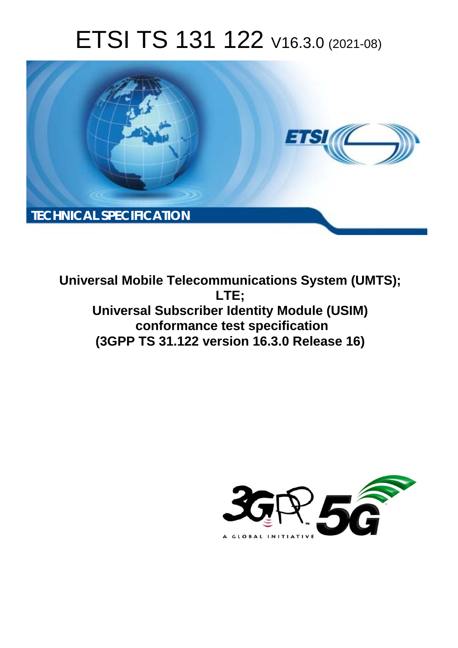# ETSI TS 131 122 V16.3.0 (2021-08)



**Universal Mobile Telecommunications System (UMTS); LTE; Universal Subscriber Identity Module (USIM) conformance test specification (3GPP TS 31.122 version 16.3.0 Release 16)** 

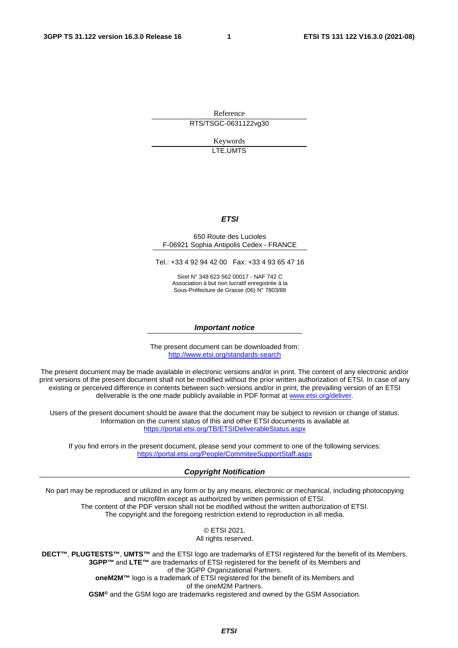Reference RTS/TSGC-0631122vg30

> Keywords LTE,UMTS

#### *ETSI*

#### 650 Route des Lucioles F-06921 Sophia Antipolis Cedex - FRANCE

Tel.: +33 4 92 94 42 00 Fax: +33 4 93 65 47 16

Siret N° 348 623 562 00017 - NAF 742 C Association à but non lucratif enregistrée à la Sous-Préfecture de Grasse (06) N° 7803/88

#### *Important notice*

The present document can be downloaded from: <http://www.etsi.org/standards-search>

The present document may be made available in electronic versions and/or in print. The content of any electronic and/or print versions of the present document shall not be modified without the prior written authorization of ETSI. In case of any existing or perceived difference in contents between such versions and/or in print, the prevailing version of an ETSI deliverable is the one made publicly available in PDF format at [www.etsi.org/deliver](http://www.etsi.org/deliver).

Users of the present document should be aware that the document may be subject to revision or change of status. Information on the current status of this and other ETSI documents is available at <https://portal.etsi.org/TB/ETSIDeliverableStatus.aspx>

If you find errors in the present document, please send your comment to one of the following services: <https://portal.etsi.org/People/CommiteeSupportStaff.aspx>

#### *Copyright Notification*

No part may be reproduced or utilized in any form or by any means, electronic or mechanical, including photocopying and microfilm except as authorized by written permission of ETSI. The content of the PDF version shall not be modified without the written authorization of ETSI. The copyright and the foregoing restriction extend to reproduction in all media.

> © ETSI 2021. All rights reserved.

**DECT™**, **PLUGTESTS™**, **UMTS™** and the ETSI logo are trademarks of ETSI registered for the benefit of its Members. **3GPP™** and **LTE™** are trademarks of ETSI registered for the benefit of its Members and of the 3GPP Organizational Partners. **oneM2M™** logo is a trademark of ETSI registered for the benefit of its Members and of the oneM2M Partners. **GSM®** and the GSM logo are trademarks registered and owned by the GSM Association.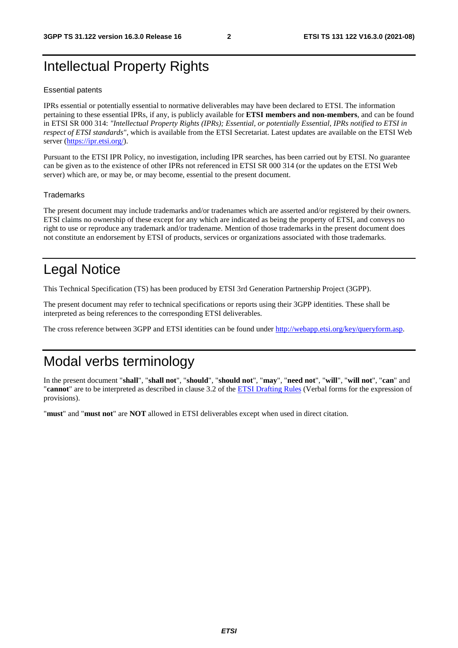# Intellectual Property Rights

#### Essential patents

IPRs essential or potentially essential to normative deliverables may have been declared to ETSI. The information pertaining to these essential IPRs, if any, is publicly available for **ETSI members and non-members**, and can be found in ETSI SR 000 314: *"Intellectual Property Rights (IPRs); Essential, or potentially Essential, IPRs notified to ETSI in respect of ETSI standards"*, which is available from the ETSI Secretariat. Latest updates are available on the ETSI Web server [\(https://ipr.etsi.org/](https://ipr.etsi.org/)).

Pursuant to the ETSI IPR Policy, no investigation, including IPR searches, has been carried out by ETSI. No guarantee can be given as to the existence of other IPRs not referenced in ETSI SR 000 314 (or the updates on the ETSI Web server) which are, or may be, or may become, essential to the present document.

#### **Trademarks**

The present document may include trademarks and/or tradenames which are asserted and/or registered by their owners. ETSI claims no ownership of these except for any which are indicated as being the property of ETSI, and conveys no right to use or reproduce any trademark and/or tradename. Mention of those trademarks in the present document does not constitute an endorsement by ETSI of products, services or organizations associated with those trademarks.

# Legal Notice

This Technical Specification (TS) has been produced by ETSI 3rd Generation Partnership Project (3GPP).

The present document may refer to technical specifications or reports using their 3GPP identities. These shall be interpreted as being references to the corresponding ETSI deliverables.

The cross reference between 3GPP and ETSI identities can be found under<http://webapp.etsi.org/key/queryform.asp>.

# Modal verbs terminology

In the present document "**shall**", "**shall not**", "**should**", "**should not**", "**may**", "**need not**", "**will**", "**will not**", "**can**" and "**cannot**" are to be interpreted as described in clause 3.2 of the [ETSI Drafting Rules](https://portal.etsi.org/Services/editHelp!/Howtostart/ETSIDraftingRules.aspx) (Verbal forms for the expression of provisions).

"**must**" and "**must not**" are **NOT** allowed in ETSI deliverables except when used in direct citation.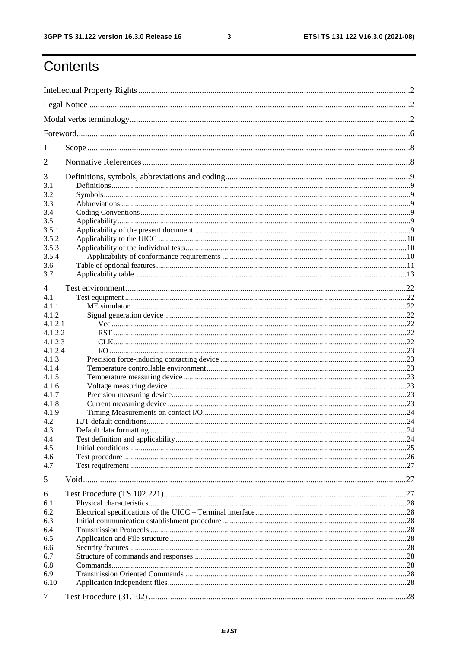$\mathbf{3}$ 

# Contents

| 1          |  |  |  |
|------------|--|--|--|
| 2          |  |  |  |
| 3          |  |  |  |
| 3.1        |  |  |  |
| 3.2        |  |  |  |
| 3.3        |  |  |  |
| 3.4<br>3.5 |  |  |  |
| 3.5.1      |  |  |  |
| 3.5.2      |  |  |  |
| 3.5.3      |  |  |  |
| 3.5.4      |  |  |  |
| 3.6        |  |  |  |
| 3.7        |  |  |  |
|            |  |  |  |
| 4          |  |  |  |
| 4.1        |  |  |  |
| 4.1.1      |  |  |  |
| 4.1.2      |  |  |  |
| 4.1.2.1    |  |  |  |
| 4.1.2.2    |  |  |  |
| 4.1.2.3    |  |  |  |
| 4.1.2.4    |  |  |  |
| 4.1.3      |  |  |  |
| 4.1.4      |  |  |  |
| 4.1.5      |  |  |  |
| 4.1.6      |  |  |  |
| 4.1.7      |  |  |  |
| 4.1.8      |  |  |  |
| 4.1.9      |  |  |  |
| 4.2        |  |  |  |
| 4.3        |  |  |  |
| 4.4        |  |  |  |
| 4.5        |  |  |  |
| 4.6        |  |  |  |
| 4.7        |  |  |  |
| 5          |  |  |  |
| 6          |  |  |  |
| 6.1        |  |  |  |
| 6.2        |  |  |  |
| 6.3        |  |  |  |
| 6.4        |  |  |  |
| 6.5        |  |  |  |
| 6.6        |  |  |  |
| 6.7        |  |  |  |
| 6.8        |  |  |  |
| 6.9        |  |  |  |
| 6.10       |  |  |  |
| 7          |  |  |  |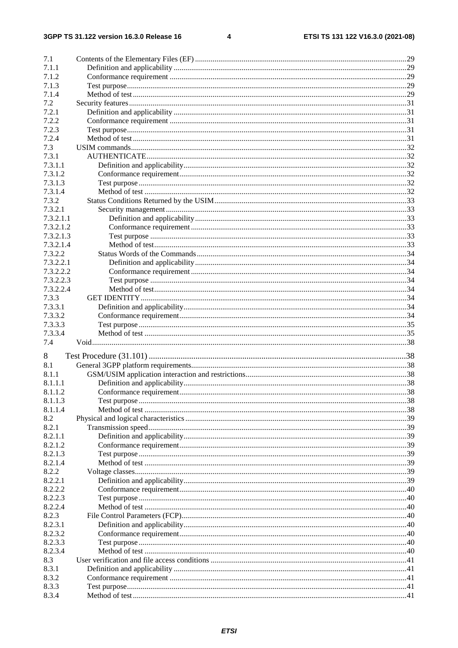$\overline{\mathbf{4}}$ 

| 7.1       |  |
|-----------|--|
| 7.1.1     |  |
| 7.1.2     |  |
| 7.1.3     |  |
| 7.1.4     |  |
| 7.2       |  |
| 7.2.1     |  |
| 7.2.2     |  |
| 7.2.3     |  |
| 7.2.4     |  |
| 7.3       |  |
| 7.3.1     |  |
| 7.3.1.1   |  |
| 7.3.1.2   |  |
| 7.3.1.3   |  |
| 7.3.1.4   |  |
| 7.3.2     |  |
| 7.3.2.1   |  |
| 7.3.2.1.1 |  |
| 7.3.2.1.2 |  |
| 7.3.2.1.3 |  |
| 7.3.2.1.4 |  |
| 7.3.2.2   |  |
| 7.3.2.2.1 |  |
| 7.3.2.2.2 |  |
| 7.3.2.2.3 |  |
| 7.3.2.2.4 |  |
| 7.3.3     |  |
| 7.3.3.1   |  |
| 7.3.3.2   |  |
| 7.3.3.3   |  |
| 7.3.3.4   |  |
| 7.4       |  |
| 8         |  |
| 8.1       |  |
| 8.1.1     |  |
| 8.1.1.1   |  |
| 8.1.1.2   |  |
| 8.1.1.3   |  |
| 8.1.1.4   |  |
| 8.2       |  |
| 8.2.1     |  |
| 8.2.1.1   |  |
| 8.2.1.2   |  |
| 8.2.1.3   |  |
| 8.2.1.4   |  |
| 8.2.2     |  |
| 8.2.2.1   |  |
| 8.2.2.2   |  |
| 8.2.2.3   |  |
| 8.2.2.4   |  |
| 8.2.3     |  |
| 8.2.3.1   |  |
| 8.2.3.2   |  |
| 8.2.3.3   |  |
| 8.2.3.4   |  |
| 8.3       |  |
| 8.3.1     |  |
| 8.3.2     |  |
| 8.3.3     |  |
| 8.3.4     |  |
|           |  |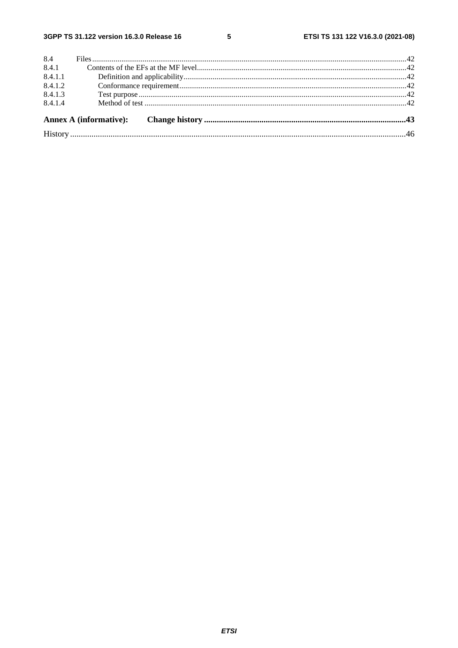| 8.4.1.4 |  |  |  |
|---------|--|--|--|
| 8.4.1.3 |  |  |  |
| 8.4.1.2 |  |  |  |
| 8.4.1.1 |  |  |  |
| 8.4.1   |  |  |  |
| 8.4     |  |  |  |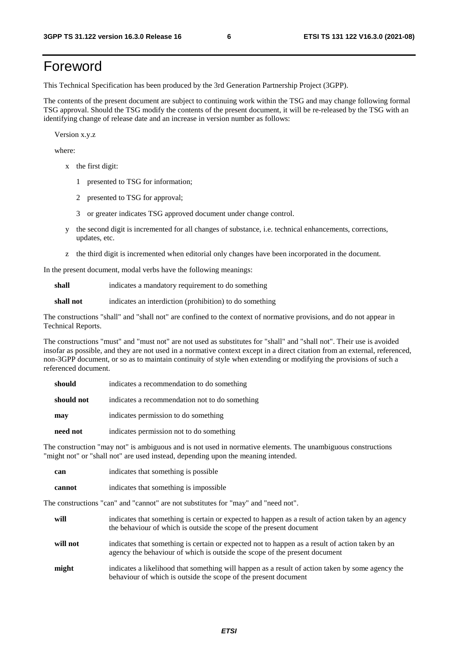# Foreword

This Technical Specification has been produced by the 3rd Generation Partnership Project (3GPP).

The contents of the present document are subject to continuing work within the TSG and may change following formal TSG approval. Should the TSG modify the contents of the present document, it will be re-released by the TSG with an identifying change of release date and an increase in version number as follows:

Version x.y.z

where:

- x the first digit:
	- 1 presented to TSG for information;
	- 2 presented to TSG for approval;
	- 3 or greater indicates TSG approved document under change control.
- y the second digit is incremented for all changes of substance, i.e. technical enhancements, corrections, updates, etc.
- z the third digit is incremented when editorial only changes have been incorporated in the document.

In the present document, modal verbs have the following meanings:

**shall** indicates a mandatory requirement to do something

**shall not** indicates an interdiction (prohibition) to do something

The constructions "shall" and "shall not" are confined to the context of normative provisions, and do not appear in Technical Reports.

The constructions "must" and "must not" are not used as substitutes for "shall" and "shall not". Their use is avoided insofar as possible, and they are not used in a normative context except in a direct citation from an external, referenced, non-3GPP document, or so as to maintain continuity of style when extending or modifying the provisions of such a referenced document.

| indicates a recommendation to do something<br>should |                                                |
|------------------------------------------------------|------------------------------------------------|
| should not                                           | indicates a recommendation not to do something |
| may                                                  | indicates permission to do something           |
| need not                                             | indicates permission not to do something       |

The construction "may not" is ambiguous and is not used in normative elements. The unambiguous constructions "might not" or "shall not" are used instead, depending upon the meaning intended.

| can    | indicates that something is possible   |
|--------|----------------------------------------|
| cannot | indicates that something is impossible |

The constructions "can" and "cannot" are not substitutes for "may" and "need not".

| will     | indicates that something is certain or expected to happen as a result of action taken by an agency<br>the behaviour of which is outside the scope of the present document     |
|----------|-------------------------------------------------------------------------------------------------------------------------------------------------------------------------------|
| will not | indicates that something is certain or expected not to happen as a result of action taken by an<br>agency the behaviour of which is outside the scope of the present document |
| might    | indicates a likelihood that something will happen as a result of action taken by some agency the<br>behaviour of which is outside the scope of the present document           |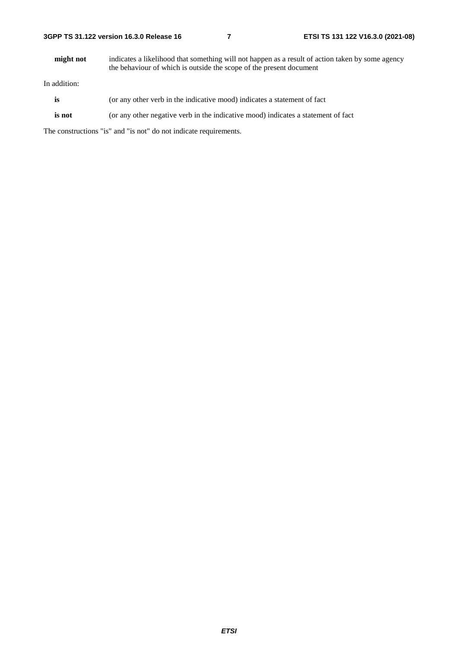| 3GPP TS 31.122 version 16.3.0 Release 16 |  |
|------------------------------------------|--|
|------------------------------------------|--|

**might not** indicates a likelihood that something will not happen as a result of action taken by some agency the behaviour of which is outside the scope of the present document

In addition:

- is (or any other verb in the indicative mood) indicates a statement of fact
- **is not** (or any other negative verb in the indicative mood) indicates a statement of fact

The constructions "is" and "is not" do not indicate requirements.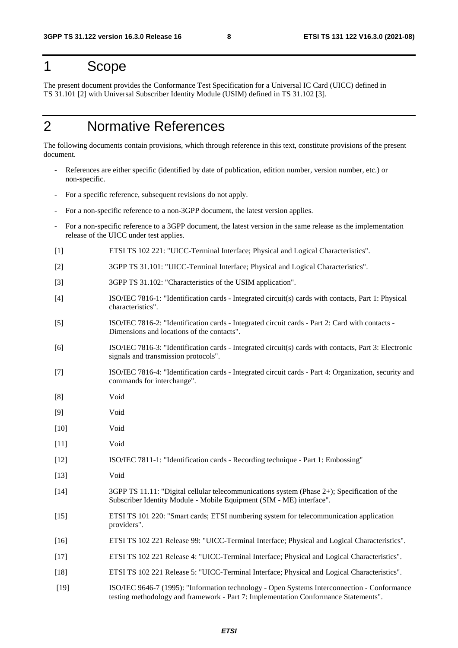# 1 Scope

The present document provides the Conformance Test Specification for a Universal IC Card (UICC) defined in TS 31.101 [2] with Universal Subscriber Identity Module (USIM) defined in TS 31.102 [3].

# 2 Normative References

The following documents contain provisions, which through reference in this text, constitute provisions of the present document.

- References are either specific (identified by date of publication, edition number, version number, etc.) or non-specific.
- For a specific reference, subsequent revisions do not apply.
- For a non-specific reference to a non-3GPP document, the latest version applies.
- For a non-specific reference to a 3GPP document, the latest version in the same release as the implementation release of the UICC under test applies.
- [1] ETSI TS 102 221: "UICC-Terminal Interface; Physical and Logical Characteristics".
- [2] 3GPP TS 31.101: "UICC-Terminal Interface; Physical and Logical Characteristics".
- [3] 3GPP TS 31.102: "Characteristics of the USIM application".
- [4] ISO/IEC 7816-1: "Identification cards Integrated circuit(s) cards with contacts, Part 1: Physical characteristics".
- [5] ISO/IEC 7816-2: "Identification cards Integrated circuit cards Part 2: Card with contacts Dimensions and locations of the contacts".
- [6] ISO/IEC 7816-3: "Identification cards Integrated circuit(s) cards with contacts, Part 3: Electronic signals and transmission protocols".
- [7] ISO/IEC 7816-4: "Identification cards Integrated circuit cards Part 4: Organization, security and commands for interchange".
- [8] Void
- [9] Void
- [10] Void
- [11] Void
- [12] ISO/IEC 7811-1: "Identification cards Recording technique Part 1: Embossing"
- [13] Void
- [14] 3GPP TS 11.11: "Digital cellular telecommunications system (Phase 2+); Specification of the Subscriber Identity Module - Mobile Equipment (SIM - ME) interface".
- [15] ETSI TS 101 220: "Smart cards; ETSI numbering system for telecommunication application providers".
- [16] ETSI TS 102 221 Release 99: "UICC-Terminal Interface; Physical and Logical Characteristics".
- [17] ETSI TS 102 221 Release 4: "UICC-Terminal Interface; Physical and Logical Characteristics".
- [18] ETSI TS 102 221 Release 5: "UICC-Terminal Interface; Physical and Logical Characteristics".
- [19] ISO/IEC 9646-7 (1995): "Information technology Open Systems Interconnection Conformance testing methodology and framework - Part 7: Implementation Conformance Statements".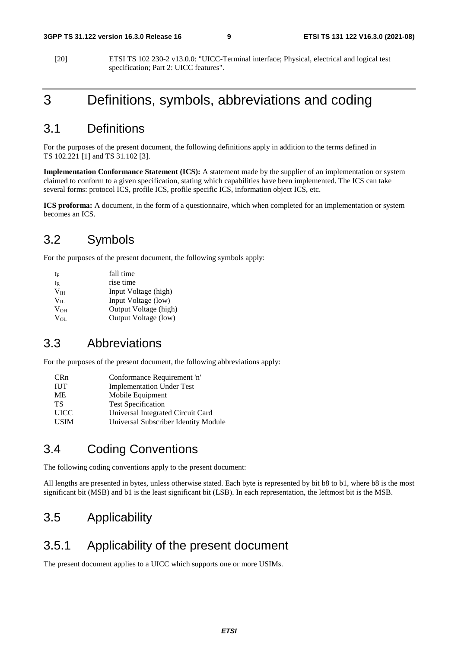[20] ETSI TS 102 230-2 v13.0.0: "UICC-Terminal interface; Physical, electrical and logical test specification; Part 2: UICC features".

# 3 Definitions, symbols, abbreviations and coding

# 3.1 Definitions

For the purposes of the present document, the following definitions apply in addition to the terms defined in TS 102.221 [1] and TS 31.102 [3].

**Implementation Conformance Statement (ICS):** A statement made by the supplier of an implementation or system claimed to conform to a given specification, stating which capabilities have been implemented. The ICS can take several forms: protocol ICS, profile ICS, profile specific ICS, information object ICS, etc.

**ICS proforma:** A document, in the form of a questionnaire, which when completed for an implementation or system becomes an ICS.

# 3.2 Symbols

For the purposes of the present document, the following symbols apply:

| te           | fall time             |
|--------------|-----------------------|
| tr           | rise time             |
| $V_{IH}$     | Input Voltage (high)  |
| $V_{\rm IL}$ | Input Voltage (low)   |
| $V_{OH}$     | Output Voltage (high) |
| $V_{OL}$     | Output Voltage (low)  |

# 3.3 Abbreviations

For the purposes of the present document, the following abbreviations apply:

| <b>CRn</b>  | Conformance Requirement 'n'          |
|-------------|--------------------------------------|
| <b>IUT</b>  | <b>Implementation Under Test</b>     |
| ME          | Mobile Equipment                     |
| TS          | <b>Test Specification</b>            |
| <b>UICC</b> | Universal Integrated Circuit Card    |
| <b>USIM</b> | Universal Subscriber Identity Module |

# 3.4 Coding Conventions

The following coding conventions apply to the present document:

All lengths are presented in bytes, unless otherwise stated. Each byte is represented by bit b8 to b1, where b8 is the most significant bit (MSB) and b1 is the least significant bit (LSB). In each representation, the leftmost bit is the MSB.

# 3.5 Applicability

# 3.5.1 Applicability of the present document

The present document applies to a UICC which supports one or more USIMs.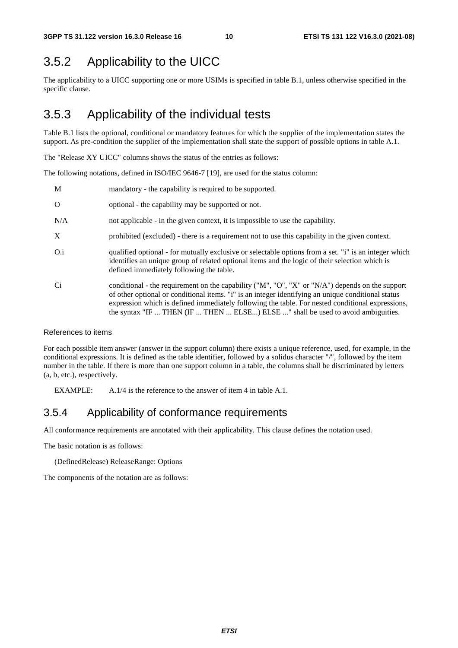# 3.5.2 Applicability to the UICC

The applicability to a UICC supporting one or more USIMs is specified in table B.1, unless otherwise specified in the specific clause.

# 3.5.3 Applicability of the individual tests

Table B.1 lists the optional, conditional or mandatory features for which the supplier of the implementation states the support. As pre-condition the supplier of the implementation shall state the support of possible options in table A.1.

The "Release XY UICC" columns shows the status of the entries as follows:

The following notations, defined in ISO/IEC 9646-7 [19], are used for the status column:

| M        | mandatory - the capability is required to be supported.                                                                                                                                                                                                                                                                                                                                       |
|----------|-----------------------------------------------------------------------------------------------------------------------------------------------------------------------------------------------------------------------------------------------------------------------------------------------------------------------------------------------------------------------------------------------|
| $\Omega$ | optional - the capability may be supported or not.                                                                                                                                                                                                                                                                                                                                            |
| N/A      | not applicable - in the given context, it is impossible to use the capability.                                                                                                                                                                                                                                                                                                                |
| X        | prohibited (excluded) - there is a requirement not to use this capability in the given context.                                                                                                                                                                                                                                                                                               |
| O.i      | qualified optional - for mutually exclusive or selectable options from a set. "i" is an integer which<br>identifies an unique group of related optional items and the logic of their selection which is<br>defined immediately following the table.                                                                                                                                           |
| Ci       | conditional - the requirement on the capability ("M", "O", "X" or "N/A") depends on the support<br>of other optional or conditional items. "i" is an integer identifying an unique conditional status<br>expression which is defined immediately following the table. For nested conditional expressions,<br>the syntax "IF  THEN (IF  THEN  ELSE) ELSE " shall be used to avoid ambiguities. |

#### References to items

For each possible item answer (answer in the support column) there exists a unique reference, used, for example, in the conditional expressions. It is defined as the table identifier, followed by a solidus character "/", followed by the item number in the table. If there is more than one support column in a table, the columns shall be discriminated by letters (a, b, etc.), respectively.

EXAMPLE: A.1/4 is the reference to the answer of item 4 in table A.1.

### 3.5.4 Applicability of conformance requirements

All conformance requirements are annotated with their applicability. This clause defines the notation used.

The basic notation is as follows:

(DefinedRelease) ReleaseRange: Options

The components of the notation are as follows: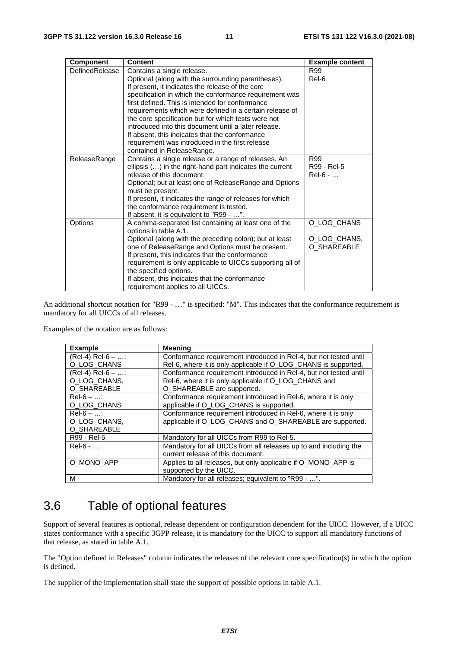| <b>Component</b> | <b>Content</b>                                                             | <b>Example content</b> |
|------------------|----------------------------------------------------------------------------|------------------------|
| DefinedRelease   | Contains a single release.                                                 | R99                    |
|                  | Optional (along with the surrounding parentheses).                         | Rel-6                  |
|                  | If present, it indicates the release of the core                           |                        |
|                  | specification in which the conformance requirement was                     |                        |
|                  | first defined. This is intended for conformance                            |                        |
|                  | requirements which were defined in a certain release of                    |                        |
|                  | the core specification but for which tests were not                        |                        |
|                  | introduced into this document until a later release.                       |                        |
|                  | If absent, this indicates that the conformance                             |                        |
|                  | requirement was introduced in the first release                            |                        |
|                  | contained in ReleaseRange.                                                 |                        |
| ReleaseRange     | Contains a single release or a range of releases. An                       | R99                    |
|                  | ellipsis () in the right-hand part indicates the current                   | R99 - Rel-5            |
|                  | release of this document.                                                  | $Rel-6 - $             |
|                  | Optional; but at least one of ReleaseRange and Options<br>must be present. |                        |
|                  | If present, it indicates the range of releases for which                   |                        |
|                  | the conformance requirement is tested.                                     |                        |
|                  | If absent, it is equivalent to "R99 - ".                                   |                        |
| Options          | A comma-separated list containing at least one of the                      | O_LOG_CHANS            |
|                  | options in table A.1.                                                      |                        |
|                  | Optional (along with the preceding colon); but at least                    | O_LOG_CHANS,           |
|                  | one of ReleaseRange and Options must be present.                           | O_SHAREABLE            |
|                  | If present, this indicates that the conformance                            |                        |
|                  | requirement is only applicable to UICCs supporting all of                  |                        |
|                  | the specified options.                                                     |                        |
|                  | If absent, this indicates that the conformance                             |                        |
|                  | requirement applies to all UICCs.                                          |                        |

An additional shortcut notation for "R99 - …" is specified: "M". This indicates that the conformance requirement is mandatory for all UICCs of all releases.

Examples of the notation are as follows:

| <b>Example</b>     | <b>Meaning</b>                                                    |
|--------------------|-------------------------------------------------------------------|
| $(Rel-4) Rel-6 - $ | Conformance requirement introduced in ReI-4, but not tested until |
| O_LOG_CHANS        | Rel-6, where it is only applicable if O_LOG_CHANS is supported.   |
| $(Rel-4) Rel-6 - $ | Conformance requirement introduced in Rel-4, but not tested until |
| O_LOG_CHANS,       | Rel-6, where it is only applicable if O_LOG_CHANS and             |
| O_SHAREABLE        | O SHAREABLE are supported.                                        |
| $Rel-6 - $         | Conformance requirement introduced in Rel-6, where it is only     |
| O_LOG_CHANS        | applicable if O_LOG_CHANS is supported.                           |
| $Rel-6 - $         | Conformance requirement introduced in Rel-6, where it is only     |
| O LOG CHANS,       | applicable if O_LOG_CHANS and O_SHAREABLE are supported.          |
| O_SHAREABLE        |                                                                   |
| R99 - Rel-5        | Mandatory for all UICCs from R99 to Rel-5.                        |
| $Rel-6 - $         | Mandatory for all UICCs from all releases up to and including the |
|                    | current release of this document.                                 |
| O_MONO_APP         | Applies to all releases, but only applicable if O MONO APP is     |
|                    | supported by the UICC.                                            |
| М                  | Mandatory for all releases; equivalent to "R99 - ".               |

# 3.6 Table of optional features

Support of several features is optional, release dependent or configuration dependent for the UICC. However, if a UICC states conformance with a specific 3GPP release, it is mandatory for the UICC to support all mandatory functions of that release, as stated in table A.1.

The "Option defined in Releases" column indicates the releases of the relevant core specification(s) in which the option is defined.

The supplier of the implementation shall state the support of possible options in table A.1.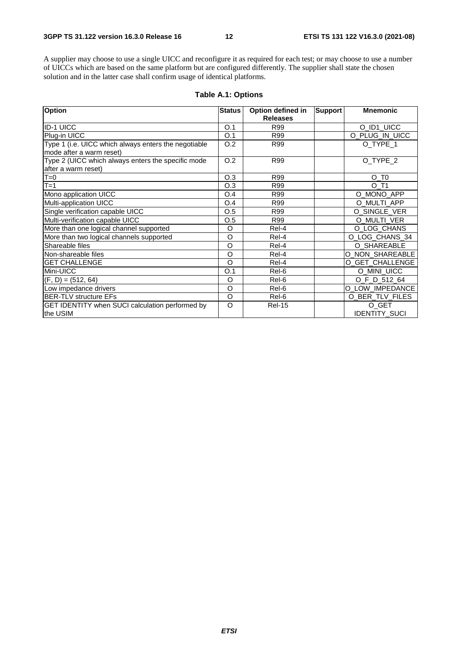A supplier may choose to use a single UICC and reconfigure it as required for each test; or may choose to use a number of UICCs which are based on the same platform but are configured differently. The supplier shall state the chosen solution and in the latter case shall confirm usage of identical platforms.

| <b>Option</b>                                        | <b>Status</b> | Option defined in | <b>Support</b> | <b>Mnemonic</b>      |
|------------------------------------------------------|---------------|-------------------|----------------|----------------------|
|                                                      |               | <b>Releases</b>   |                |                      |
| <b>ID-1 UICC</b>                                     | O.1           | R99               |                | O_ID1_UICC           |
| Plug-in UICC                                         | O.1           | R99               |                | O_PLUG_IN_UICC       |
| Type 1 (i.e. UICC which always enters the negotiable | O.2           | R99               |                | O_TYPE_1             |
| mode after a warm reset)                             |               |                   |                |                      |
| Type 2 (UICC which always enters the specific mode   | O.2           | R99               |                | O_TYPE_2             |
| after a warm reset)                                  |               |                   |                |                      |
| $T=0$                                                | O.3           | R99               |                | $O_T$                |
| $T=1$                                                | O.3           | R99               |                | O T1                 |
| Mono application UICC                                | O.4           | R99               |                | O_MONO_APP           |
| Multi-application UICC                               | O.4           | R99               |                | O_MULTI_APP          |
| Single verification capable UICC                     | O.5           | R99               |                | O SINGLE VER         |
| Multi-verification capable UICC                      | O.5           | R99               |                | O MULTI VER          |
| More than one logical channel supported              | O             | Rel-4             |                | O_LOG_CHANS          |
| More than two logical channels supported             | O             | Rel-4             |                | O_LOG_CHANS_34       |
| Shareable files                                      | O             | Rel-4             |                | O_SHAREABLE          |
| Non-shareable files                                  | O             | Rel-4             |                | O NON SHAREABLE      |
| <b>GET CHALLENGE</b>                                 | O             | Rel-4             |                | O_GET_CHALLENGE      |
| Mini-UICC                                            | O.1           | Rel-6             |                | O MINI UICC          |
| $(F, D) = (512, 64)$                                 | O             | Rel-6             |                | O_F_D_512_64         |
| Low impedance drivers                                | O             | Rel-6             |                | O_LOW_IMPEDANCE      |
| <b>BER-TLV structure EFs</b>                         | O             | Rel-6             |                | O BER TLV FILES      |
| GET IDENTITY when SUCI calculation performed by      | O             | <b>Rel-15</b>     |                | O_GET                |
| the USIM                                             |               |                   |                | <b>IDENTITY SUCI</b> |

#### **Table A.1: Options**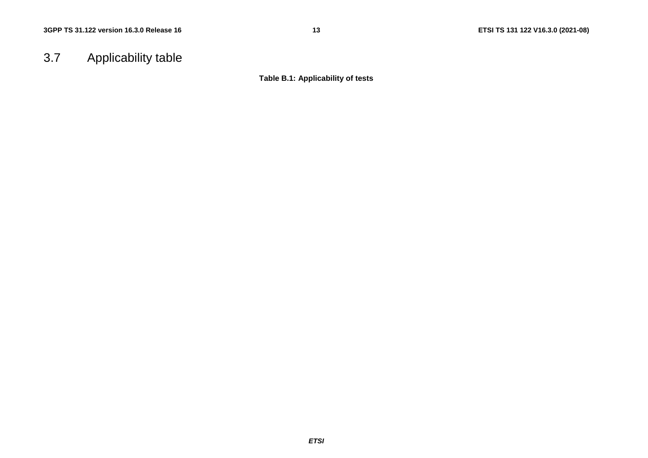# 3.7 Applicability table

**Table B.1: Applicability of tests**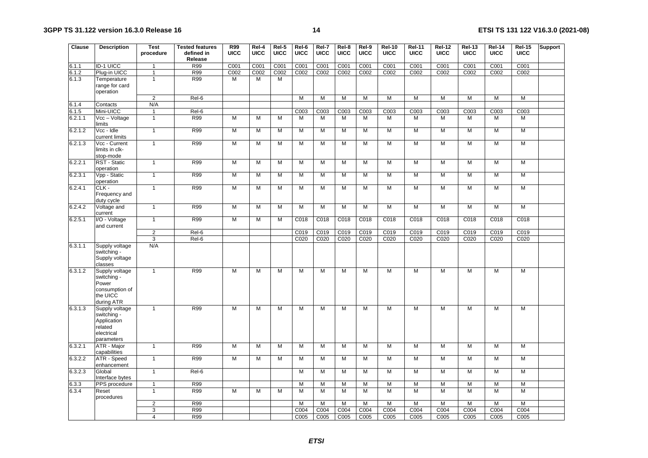| Clause         | <b>Description</b>                                                                  | Test<br>procedure   | <b>Tested features</b><br>defined in<br>Release | <b>R99</b><br><b>UICC</b> | Rel-4<br><b>UICC</b> | Rel-5<br><b>UICC</b> | Rel-6<br><b>UICC</b> | Rel-7<br><b>UICC</b> | Rel-8<br><b>UICC</b> | Rel-9<br><b>UICC</b> | <b>Rel-10</b><br><b>UICC</b> | <b>Rel-11</b><br><b>UICC</b> | <b>Rel-12</b><br><b>UICC</b> | <b>Rel-13</b><br>UICC | <b>Rel-14</b><br><b>UICC</b> | <b>Rel-15</b><br>UICC | Support |
|----------------|-------------------------------------------------------------------------------------|---------------------|-------------------------------------------------|---------------------------|----------------------|----------------------|----------------------|----------------------|----------------------|----------------------|------------------------------|------------------------------|------------------------------|-----------------------|------------------------------|-----------------------|---------|
| 6.1.1          | <b>ID-1 UICC</b>                                                                    | 1                   | R99                                             | C001                      | C001                 | C001                 | C001                 | C001                 | C001                 | C001                 | C001                         | C001                         | C001                         | C001                  | C001                         | C001                  |         |
| 6.1.2          | Plug-in UICC                                                                        | $\mathbf{1}$        | R99                                             | C <sub>002</sub>          | C <sub>002</sub>     | C <sub>002</sub>     | C <sub>002</sub>     | C <sub>002</sub>     | C <sub>002</sub>     | C <sub>002</sub>     | C <sub>002</sub>             | C <sub>002</sub>             | C002                         | C <sub>002</sub>      | C <sub>002</sub>             | C <sub>002</sub>      |         |
| 6.1.3          | Temperature<br>range for card<br>operation                                          | $\mathbf{1}$        | R99                                             | М                         | M                    | M                    |                      |                      |                      |                      |                              |                              |                              |                       |                              |                       |         |
|                |                                                                                     | $\overline{2}$      | $Rel-6$                                         |                           |                      |                      | $\overline{M}$       | М                    | M                    | M                    | M                            | $\overline{M}$               | M                            | M                     | М                            | M                     |         |
| 6.1.4<br>6.1.5 | Contacts<br>Mini-UICC                                                               | N/A<br>$\mathbf{1}$ | Rel-6                                           |                           |                      |                      | C003                 | C003                 | C003                 | C <sub>003</sub>     | C <sub>003</sub>             | C <sub>003</sub>             | C003                         | C003                  | C <sub>003</sub>             | C003                  |         |
| 6.2.1.1        | Vcc - Voltage                                                                       | $\mathbf{1}$        | R99                                             | M                         | M                    | M                    | M                    | M                    | M                    | M                    | M                            | M                            | $\overline{M}$               | $\overline{M}$        | $\overline{M}$               | M                     |         |
|                | limits                                                                              |                     |                                                 |                           |                      |                      |                      |                      |                      |                      |                              |                              |                              |                       |                              |                       |         |
| 6.2.1.2        | Vcc - Idle<br>current limits                                                        | $\mathbf{1}$        | R99                                             | M                         | M                    | M                    | M                    | M                    | M                    | M                    | M                            | $\overline{M}$               | M                            | M                     | M                            | M                     |         |
| 6.2.1.3        | Vcc - Current<br>limits in clk-<br>stop-mode                                        | $\mathbf{1}$        | R99                                             | M                         | м                    | M                    | M                    | M                    | M                    | M                    | M                            | M                            | М                            | M                     | M                            | M                     |         |
| 6.2.2.1        | RST - Static<br>operation                                                           | $\mathbf{1}$        | R99                                             | M                         | M                    | M                    | M                    | M                    | M                    | M                    | M                            | M                            | M                            | M                     | M                            | M                     |         |
| 6.2.3.1        | Vpp - Static<br>operation                                                           | $\mathbf{1}$        | R99                                             | М                         | M                    | M                    | M                    | M                    | M                    | M                    | M                            | M                            | M                            | M                     | M                            | M                     |         |
| 6.2.4.1        | $CLK -$<br>Frequency and<br>duty cycle                                              | $\mathbf{1}$        | R99                                             | М                         | M                    | M                    | M                    | M                    | M                    | M                    | M                            | $\overline{M}$               | M                            | M                     | M                            | M                     |         |
| 6.2.4.2        | Voltage and<br>current                                                              | $\mathbf{1}$        | R99                                             | M                         | M                    | M                    | M                    | M                    | M                    | M                    | M                            | $\overline{M}$               | $\overline{M}$               | M                     | M                            | M                     |         |
| 6.2.5.1        | I/O - Voltage<br>and current                                                        | $\mathbf{1}$        | R99                                             | M                         | M                    | M                    | C018                 | C018                 | C018                 | C018                 | C018                         | C018                         | C018                         | C018                  | C018                         | C018                  |         |
|                |                                                                                     | $\overline{2}$      | Rel-6                                           |                           |                      |                      | C019                 | C019                 | C <sub>019</sub>     | C019                 | C019                         | C019                         | C019                         | C019                  | C <sub>019</sub>             | C019                  |         |
|                |                                                                                     | $\overline{3}$      | Rel-6                                           |                           |                      |                      | C020                 | C020                 | C <sub>020</sub>     | C020                 | C020                         | C020                         | C020                         | C020                  | C020                         | C020                  |         |
| 6.3.1.1        | Supply voltage<br>switching -<br>Supply voltage<br>classes                          | N/A                 |                                                 |                           |                      |                      |                      |                      |                      |                      |                              |                              |                              |                       |                              |                       |         |
| 6.3.1.2        | Supply voltage<br>switching -<br>Power<br>consumption of<br>the UICC<br>during ATR  | $\mathbf{1}$        | R99                                             | М                         | M                    | M                    | M                    | M                    | M                    | M                    | $\overline{M}$               | $\overline{M}$               | $\overline{M}$               | $\overline{M}$        | $\overline{M}$               | $\overline{M}$        |         |
| 6.3.1.3        | Supply voltage<br>switching -<br>Application<br>related<br>electrical<br>parameters | $\mathbf{1}$        | R99                                             | M                         | $\overline{M}$       | $\overline{M}$       | $\overline{M}$       | M                    | $\overline{M}$       | $\overline{M}$       | M                            | M                            | M                            | M                     | M                            | $\overline{M}$        |         |
| 6.3.2.1        | ATR - Major<br>capabilities                                                         | $\mathbf{1}$        | R99                                             | M                         | M                    | M                    | M                    | M                    | M                    | M                    | M                            | M                            | M                            | M                     | M                            | M                     |         |
| 6.3.2.2        | ATR - Speed<br>enhancement                                                          | $\mathbf{1}$        | R99                                             | M                         | M                    | M                    | M                    | M                    | M                    | M                    | M                            | M                            | M                            | M                     | M                            | M                     |         |
| 6.3.2.3        | Global<br>Interface bytes                                                           | $\mathbf{1}$        | Rel-6                                           |                           |                      |                      | M                    | M                    | M                    | M                    | M                            | $\overline{M}$               | М                            | M                     | M                            | $\overline{M}$        |         |
| 6.3.3          | PPS procedure                                                                       | $\mathbf{1}$        | R99                                             |                           |                      |                      | M                    | M                    | M                    | M                    | M                            | M                            | M                            | M                     | M                            | M                     |         |
| 6.3.4          | Reset<br>procedures                                                                 | $\mathbf{1}$        | R99                                             | M                         | M                    | M                    | M                    | M                    | M                    | M                    | M                            | M                            | M                            | M                     | M                            | M                     |         |
|                |                                                                                     | $\mathbf 2$         | R99                                             |                           |                      |                      | M                    | M                    | M                    | M                    | M                            | M                            | M                            | M                     | M                            | M                     |         |
|                |                                                                                     | 3                   | <b>R99</b>                                      |                           |                      |                      | C004                 | C004                 | C004                 | C004                 | C004                         | C004                         | C004                         | C004                  | C004                         | C004                  |         |
|                |                                                                                     | 4                   | R99                                             |                           |                      |                      | C005                 | C005                 | C005                 | C005                 | C005                         | C005                         | C005                         | C005                  | C005                         | C005                  |         |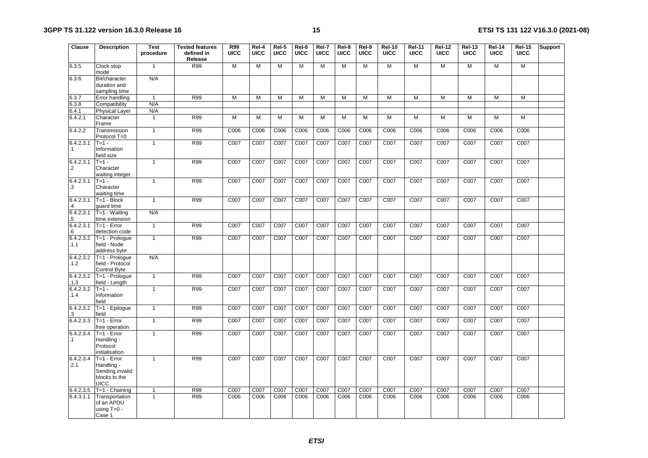| <b>Clause</b>               | <b>Description</b>                                                             | <b>Test</b><br>procedure | <b>Tested features</b><br>defined in<br>Release | R99<br><b>UICC</b> | Rel-4<br><b>UICC</b> | Rel-5<br><b>UICC</b> | Rel-6<br><b>UICC</b> | Rel-7<br><b>UICC</b> | Rel-8<br><b>UICC</b> | Rel-9<br><b>UICC</b> | <b>Rel-10</b><br><b>UICC</b> | <b>Rel-11</b><br><b>UICC</b> | Rel-12<br><b>UICC</b> | Rel-13<br><b>UICC</b> | <b>Rel-14</b><br><b>UICC</b> | <b>Rel-15</b><br><b>UICC</b> | Support |
|-----------------------------|--------------------------------------------------------------------------------|--------------------------|-------------------------------------------------|--------------------|----------------------|----------------------|----------------------|----------------------|----------------------|----------------------|------------------------------|------------------------------|-----------------------|-----------------------|------------------------------|------------------------------|---------|
| 6.3.5                       | Clock stop<br>mode                                                             | $\mathbf{1}$             | R99                                             | M                  | M                    | M                    | M                    | M                    | M                    | M                    | M                            | $\overline{M}$               | M                     | M                     | M                            | M                            |         |
| 6.3.6                       | Bit/character<br>duration and<br>sampling time                                 | N/A                      |                                                 |                    |                      |                      |                      |                      |                      |                      |                              |                              |                       |                       |                              |                              |         |
| 6.3.7                       | Error handling                                                                 | $\mathbf{1}$             | <b>R99</b>                                      | M                  | M                    | M                    | M                    | M                    | M                    | M                    | M                            | М                            | М                     | M                     | M                            | M                            |         |
| 6.3.8                       | Compatibility                                                                  | N/A                      |                                                 |                    |                      |                      |                      |                      |                      |                      |                              |                              |                       |                       |                              |                              |         |
| 6.4.1                       | <b>Physical Layer</b>                                                          | N/A                      |                                                 | $\overline{M}$     |                      |                      |                      |                      |                      |                      |                              |                              |                       |                       |                              |                              |         |
| 6.4.2.1                     | Character<br>Frame                                                             | $\mathbf{1}$             | R99                                             |                    | M                    | M                    | M                    | M                    | M                    | M                    | M                            | M                            | M                     | M                     | M                            | M                            |         |
| 6.4.2.2                     | Transmission<br>Protocol T=0                                                   | $\mathbf{1}$             | R99                                             | C006               | C006                 | C006                 | C006                 | C006                 | C006                 | C006                 | C006                         | C006                         | C006                  | C006                  | C006                         | C006                         |         |
| 6.4.2.3.1<br>$\cdot$ 1      | $T=1 -$<br>Information<br>field size                                           | $\mathbf{1}$             | R99                                             | C007               | C007                 | C007                 | C007                 | C007                 | C007                 | C007                 | C007                         | C007                         | C007                  | C007                  | C007                         | C007                         |         |
| 6.4.2.3.1<br>$\cdot$        | $T = 1 -$<br>Character<br>waiting integer                                      | $\mathbf{1}$             | R99                                             | C007               | C007                 | C007                 | C007                 | C007                 | C007                 | C007                 | C007                         | C007                         | C007                  | C007                  | C007                         | C007                         |         |
| 6.4.2.3.1<br>.3             | $T=1 -$<br>Character<br>waiting time                                           | $\overline{1}$           | R99                                             | C007               | C007                 | $\overline{C007}$    | C007                 | C007                 | C007                 | C007                 | C007                         | C007                         | C007                  | C007                  | C007                         | C007                         |         |
| 6.4.2.3.1<br>$\overline{A}$ | $T=1 - Block$<br>quard time                                                    | $\mathbf{1}$             | R99                                             | C <sub>007</sub>   | C007                 | C007                 | C007                 | C007                 | C007                 | C007                 | C007                         | C007                         | C007                  | C007                  | C007                         | C007                         |         |
| 6.4.2.3.1<br>.5             | $T=1 - W$ aiting<br>time extension                                             | N/A                      |                                                 |                    |                      |                      |                      |                      |                      |                      |                              |                              |                       |                       |                              |                              |         |
| 6.4.2.3.1<br>.6             | $T=1 - Error$<br>detection code                                                | $\mathbf{1}$             | R99                                             | C007               | C007                 | C007                 | C007                 | C007                 | C007                 | C007                 | C007                         | C007                         | C007                  | C007                  | C007                         | C007                         |         |
| 6.4.2.3.2<br>.1.1           | T=1 - Prologue<br>field - Node<br>address byte                                 | $\overline{1}$           | R99                                             | C007               | C007                 | C007                 | C007                 | C007                 | C007                 | C007                 | C007                         | C007                         | C007                  | C007                  | C007                         | C007                         |         |
| 6.4.2.3.2<br>.1.2           | T=1 - Prologue<br>field - Protocol<br>Control Byte                             | N/A                      |                                                 |                    |                      |                      |                      |                      |                      |                      |                              |                              |                       |                       |                              |                              |         |
| 6.4.2.3.2<br>.1.3           | T=1 - Prologue<br>field - Length                                               | $\overline{1}$           | R99                                             | C007               | C007                 | C007                 | C007                 | C007                 | C007                 | C007                 | C007                         | C007                         | C007                  | C007                  | C007                         | C007                         |         |
| 6.4.2.3.2<br>.1.4           | $T=1 -$<br>Information<br>field                                                | $\mathbf{1}$             | R99                                             | C007               | C007                 | C007                 | C007                 | C007                 | C007                 | C007                 | C007                         | C007                         | C007                  | C007                  | C007                         | C007                         |         |
| 6.4.2.3.2<br>.3             | T=1 - Epilogue<br>field                                                        | $\overline{1}$           | R99                                             | C007               | C007                 | C007                 | C007                 | C007                 | C007                 | C007                 | C007                         | C007                         | C007                  | C007                  | C007                         | C007                         |         |
| 6.4.2.3.3                   | $T=1 - Error$<br>free operation                                                | $\mathbf{1}$             | R99                                             | C007               | C007                 | C007                 | C007                 | C007                 | C007                 | C007                 | C007                         | C007                         | C007                  | C007                  | C007                         | C007                         |         |
| 6.4.2.3.4<br>.1             | $T=1 - E$ rror<br>Handling -<br>Protocol<br>initialisation                     | $\mathbf{1}$             | R99                                             | C007               | C007                 | C007                 | C007                 | C007                 | C007                 | C007                 | C007                         | C007                         | C007                  | C007                  | C007                         | C007                         |         |
| 6.4.2.3.4<br>.2.1           | $T=1 - Error$<br>Handling -<br>Sending invalid<br>blocks to the<br><b>UICC</b> | $\mathbf{1}$             | R99                                             | C007               | C007                 | C007                 | C007                 | C007                 | C007                 | C007                 | C007                         | C007                         | C007                  | C007                  | C007                         | C007                         |         |
| 6.4.2.3.5                   | $T=1 - Chaining$                                                               | $\mathbf{1}$             | R99                                             | C007               | C007                 | C007                 | C007                 | C007                 | C007                 | C007                 | C007                         | C007                         | C007                  | C007                  | C007                         | C007                         |         |
| 6.4.3.1.1                   | Transportation<br>of an APDU<br>using $T=0$ -<br>Case 1                        | $\mathbf{1}$             | R99                                             | C006               | C006                 | C006                 | C006                 | C006                 | C006                 | C006                 | C006                         | C006                         | C006                  | C006                  | C006                         | C006                         |         |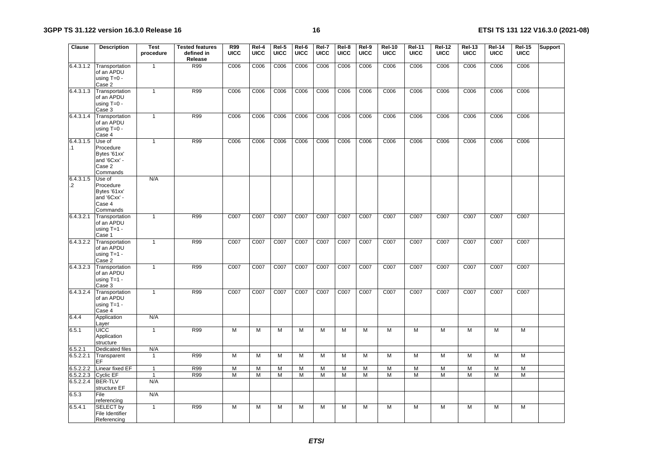| Clause                 | <b>Description</b>                                                        | <b>Test</b><br>procedure     | <b>Tested features</b><br>defined in<br>Release | <b>R99</b><br><b>UICC</b> | Rel-4<br><b>UICC</b> | Rel-5<br><b>UICC</b> | Rel-6<br><b>UICC</b> | Rel-7<br><b>UICC</b> | Rel-8<br><b>UICC</b> | Rel-9<br><b>UICC</b> | <b>Rel-10</b><br><b>UICC</b> | <b>Rel-11</b><br><b>UICC</b> | <b>Rel-12</b><br><b>UICC</b> | <b>Rel-13</b><br>UICC | <b>Rel-14</b><br><b>UICC</b> | <b>Rel-15</b><br><b>UICC</b> | Support |
|------------------------|---------------------------------------------------------------------------|------------------------------|-------------------------------------------------|---------------------------|----------------------|----------------------|----------------------|----------------------|----------------------|----------------------|------------------------------|------------------------------|------------------------------|-----------------------|------------------------------|------------------------------|---------|
| 6.4.3.1.2              | Transportation<br>of an APDU<br>using $T=0$ -<br>Case 2                   | $\mathbf{1}$                 | R99                                             | C006                      | C006                 | C006                 | C006                 | C006                 | C006                 | C006                 | C006                         | C006                         | C006                         | C006                  | C006                         | C006                         |         |
| 6.4.3.1.3              | Transportation<br>of an APDU<br>using $T=0$ -<br>Case 3                   | $\mathbf{1}$                 | R99                                             | C006                      | C006                 | C006                 | C006                 | C006                 | C006                 | C006                 | C006                         | C006                         | C006                         | C006                  | C006                         | C006                         |         |
| 6.4.3.1.4              | Transportation<br>of an APDU<br>using $T=0$ -<br>Case 4                   | $\mathbf{1}$                 | R99                                             | C006                      | C006                 | C006                 | C006                 | C006                 | C006                 | C006                 | C006                         | C006                         | C006                         | C006                  | C006                         | C006                         |         |
| 6.4.3.1.5<br>$\cdot$ 1 | Use of<br>Procedure<br>Bytes '61xx'<br>and '6Cxx' -<br>Case 2<br>Commands | $\mathbf{1}$                 | R99                                             | C006                      | C006                 | C006                 | C006                 | C006                 | C006                 | C006                 | C006                         | C006                         | C006                         | C006                  | C006                         | C006                         |         |
| 6.4.3.1.5<br>$\cdot$   | Use of<br>Procedure<br>Bytes '61xx'<br>and '6Cxx' -<br>Case 4<br>Commands | N/A                          |                                                 |                           |                      |                      |                      |                      |                      |                      |                              |                              |                              |                       |                              |                              |         |
| 6.4.3.2.1              | Transportation<br>of an APDU<br>using $T=1$ -<br>Case 1                   | 1                            | R99                                             | C007                      | C007                 | C007                 | C007                 | C007                 | C007                 | C007                 | C007                         | C007                         | C007                         | C007                  | C007                         | C007                         |         |
| 6.4.3.2.2              | Transportation<br>of an APDU<br>using $T=1$ -<br>Case 2                   | $\mathbf{1}$                 | R99                                             | C007                      | C007                 | C007                 | C007                 | C007                 | C007                 | C007                 | C007                         | C007                         | C007                         | C007                  | C007                         | C007                         |         |
| 6.4.3.2.3              | Transportation<br>of an APDU<br>using T=1 -<br>Case 3                     | $\mathbf{1}$                 | R99                                             | C007                      | C007                 | C007                 | C007                 | C007                 | C007                 | C007                 | C007                         | C007                         | C007                         | C007                  | C007                         | C007                         |         |
| 6.4.3.2.4              | Transportation<br>of an APDU<br>using $T=1$ -<br>Case 4                   | $\mathbf{1}$                 | R99                                             | C007                      | C007                 | C007                 | C007                 | C007                 | C007                 | C007                 | C007                         | C007                         | C007                         | C007                  | C007                         | C007                         |         |
| 6.4.4                  | Application<br>Layer                                                      | N/A                          |                                                 |                           |                      |                      |                      |                      |                      |                      |                              |                              |                              |                       |                              |                              |         |
| 6.5.1                  | <b>UICC</b><br>Application<br>structure                                   | $\mathbf{1}$                 | R99                                             | М                         | M                    | M                    | M                    | M                    | M                    | M                    | M                            | M                            | M                            | M                     | M                            | M                            |         |
| 6.5.2.1<br>6.5.2.2.1   | Dedicated files<br>Transparent                                            | N/A<br>$\mathbf{1}$          | R99                                             | M                         | M                    | M                    | M                    | M                    | M                    | M                    | M                            | M                            | M                            | M                     | M                            | M                            |         |
|                        | EF                                                                        |                              |                                                 |                           |                      |                      |                      |                      |                      |                      |                              |                              |                              |                       |                              |                              |         |
| 6.5.2.2.2<br>6.5.2.2.3 | Linear fixed EF<br>Cyclic EF                                              | $\mathbf{1}$<br>$\mathbf{1}$ | R99<br>R99                                      | М<br>М                    | M<br>М               | M<br>М               | M<br>M               | M<br>м               | M<br>M               | M<br>M               | M<br>M                       | M<br>M                       | M<br>M                       | M<br>M                | M<br>M                       | M<br>M                       |         |
| 6.5.2.2.4              | <b>BER-TLV</b><br>structure EF                                            | N/A                          |                                                 |                           |                      |                      |                      |                      |                      |                      |                              |                              |                              |                       |                              |                              |         |
| 6.5.3                  | File<br>referencing                                                       | N/A                          |                                                 |                           |                      |                      |                      |                      |                      |                      |                              |                              |                              |                       |                              |                              |         |
| 6.5.4.1                | SELECT by<br>File Identifier<br>Referencing                               | $\mathbf{1}$                 | R99                                             | M                         | M                    | M                    | M                    | M                    | M                    | M                    | M                            | M                            | M                            | M                     | M                            | M                            |         |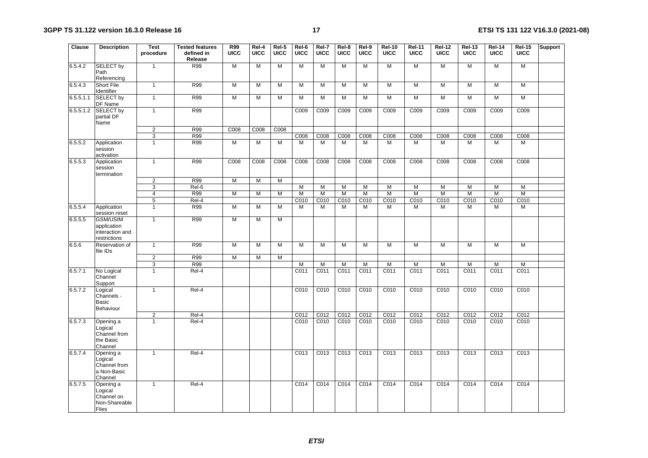| Clause    | <b>Description</b>                                                | <b>Test</b><br>procedure | <b>Tested features</b><br>defined in<br>Release | <b>R99</b><br><b>UICC</b> | Rel-4<br><b>UICC</b> | Rel-5<br><b>UICC</b> | Rel-6<br><b>UICC</b> | Rel-7<br><b>UICC</b> | Rel-8<br><b>UICC</b> | Rel-9<br><b>UICC</b> | <b>Rel-10</b><br><b>UICC</b> | <b>Rel-11</b><br><b>UICC</b> | <b>Rel-12</b><br><b>UICC</b> | <b>Rel-13</b><br><b>UICC</b> | <b>Rel-14</b><br><b>UICC</b> | <b>Rel-15</b><br><b>UICC</b> | <b>Support</b> |
|-----------|-------------------------------------------------------------------|--------------------------|-------------------------------------------------|---------------------------|----------------------|----------------------|----------------------|----------------------|----------------------|----------------------|------------------------------|------------------------------|------------------------------|------------------------------|------------------------------|------------------------------|----------------|
| 6.5.4.2   | <b>SELECT by</b><br>Path<br>Referencing                           | $\mathbf{1}$             | <b>R99</b>                                      | M                         | M                    | M                    | M                    | M                    | M                    | M                    | M                            | M                            | M                            | M                            | M                            | M                            |                |
| 6.5.4.3   | <b>Short File</b><br>Identifier                                   | $\mathbf{1}$             | R99                                             | M                         | M                    | М                    | М                    | М                    | M                    | M                    | M                            | M                            | M                            | M                            | M                            | M                            |                |
| 6.5.5.1.1 | <b>SELECT by</b><br>DF Name                                       | $\mathbf{1}$             | R99                                             | M                         | M                    | M                    | M                    | M                    | M                    | M                    | M                            | M                            | M                            | M                            | M                            | M                            |                |
| 6.5.5.1.2 | <b>SELECT by</b><br>partial DF<br>Name                            | $\mathbf{1}$             | R99                                             |                           |                      |                      | C009                 | C009                 | C009                 | C009                 | C009                         | C009                         | C009                         | C009                         | C009                         | C009                         |                |
|           |                                                                   | $\overline{2}$           | R99                                             | C008                      | C008                 | C008                 |                      |                      |                      |                      |                              |                              |                              |                              |                              |                              |                |
|           |                                                                   | $\overline{3}$           | R99                                             |                           |                      |                      | C008                 | C008                 | C008                 | C008                 | C008                         | C008                         | C008                         | C008                         | C008                         | C008                         |                |
| 6.5.5.2   | Application<br>session<br>activation                              | $\mathbf{1}$             | R99                                             | M                         | M                    | M                    | M                    | M                    | M                    | M                    | M                            | M                            | M                            | M                            | M                            | M                            |                |
| 6.5.5.3   | Application<br>session<br>termination                             | $\mathbf{1}$             | R99                                             | C <sub>008</sub>          | C <sub>008</sub>     | C008                 | C <sub>008</sub>     | C008                 | C008                 | C <sub>008</sub>     | C008                         | C008                         | C008                         | C <sub>008</sub>             | C <sub>008</sub>             | C008                         |                |
|           |                                                                   | 2                        | R99                                             | M                         | M                    | M                    |                      |                      |                      |                      |                              |                              |                              |                              |                              |                              |                |
|           |                                                                   | 3                        | $ReI-6$                                         |                           |                      |                      | M                    | М                    | M                    | M                    | M                            | M                            | M                            | M                            | M                            | M                            |                |
|           |                                                                   | $\overline{4}$           | R99                                             | M                         | $\overline{M}$       | M                    | M                    | M                    | M                    | M                    | M                            | M                            | M                            | $\overline{M}$               | $\overline{M}$               | M                            |                |
|           |                                                                   | $\overline{5}$           | Rel-4                                           |                           |                      |                      | C010                 | C010                 | C010                 | C010                 | C010                         | C010                         | C010                         | C010                         | C010                         | C010                         |                |
| 6.5.5.4   | Application<br>session reset                                      | $\mathbf{1}$             | R99                                             | M                         | M                    | M                    | M                    | M                    | M                    | M                    | M                            | M                            | M                            | M                            | M                            | M                            |                |
| 6.5.5.5   | <b>GSM/USIM</b><br>application<br>interaction and<br>restrictions | $\mathbf{1}$             | R99                                             | М                         | M                    | М                    |                      |                      |                      |                      |                              |                              |                              |                              |                              |                              |                |
| 6.5.6     | Reservation of<br>file IDs                                        | $\mathbf{1}$             | R99                                             | M                         | M                    | M                    | M                    | M                    | M                    | M                    | M                            | M                            | M                            | M                            | M                            | M                            |                |
|           |                                                                   | $\overline{2}$           | <b>R99</b>                                      | M                         | $\overline{M}$       | M                    |                      |                      |                      |                      |                              |                              |                              |                              |                              |                              |                |
|           |                                                                   | 3                        | R99                                             |                           |                      |                      | M                    | M                    | M                    | M                    | M                            | $\overline{M}$               | M                            | M                            | M                            | $\overline{M}$               |                |
| 6.5.7.1   | No Logical<br>Channel<br>Support                                  | $\mathbf{1}$             | Rel-4                                           |                           |                      |                      | C011                 | C011                 | C011                 | C011                 | C011                         | C011                         | C011                         | C011                         | C011                         | C011                         |                |
| 6.5.7.2   | Logical<br>Channels -<br><b>Basic</b><br>Behaviour                | $\mathbf{1}$             | Rel-4                                           |                           |                      |                      | C010                 | C010                 | C010                 | C010                 | C010                         | C010                         | C010                         | C010                         | C010                         | C010                         |                |
|           |                                                                   | $\overline{2}$           | Rel-4                                           |                           |                      |                      | C012                 | C012                 | C012                 | C012                 | C012                         | C012                         | C012                         | C012                         | C012                         | C <sub>012</sub>             |                |
| 6.5.7.3   | Opening a<br>Logical<br>Channel from<br>the Basic<br>Channel      | $\mathbf{1}$             | $ReI-4$                                         |                           |                      |                      | C <sub>010</sub>     | C <sub>010</sub>     | C <sub>010</sub>     | C <sub>010</sub>     | C <sub>010</sub>             | C <sub>010</sub>             | C <sub>010</sub>             | C <sub>010</sub>             | C <sub>010</sub>             | C <sub>010</sub>             |                |
| 6.5.7.4   | Opening a<br>Logical<br>Channel from<br>a Non-Basic<br>Channel    | $\mathbf{1}$             | Rel-4                                           |                           |                      |                      | C013                 | C013                 | C <sub>013</sub>     | C <sub>013</sub>     | C <sub>013</sub>             | C <sub>013</sub>             | C013                         | C013                         | C013                         | C <sub>013</sub>             |                |
| 6.5.7.5   | Opening a<br>Logical<br>Channel on<br>Non-Shareable<br>Files      | $\mathbf{1}$             | Rel-4                                           |                           |                      |                      | C014                 | C014                 | C014                 | C014                 | C014                         | C014                         | C014                         | C014                         | C014                         | C014                         |                |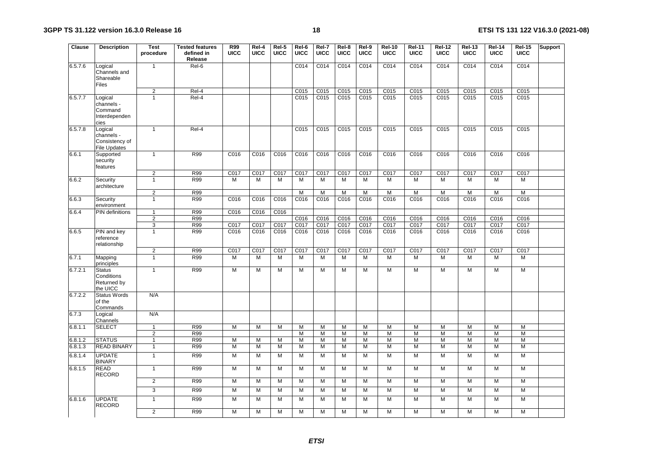| <b>Clause</b> | <b>Description</b>                                             | <b>Test</b><br>procedure | <b>Tested features</b><br>defined in<br>Release | <b>R99</b><br>UICC | Rel-4<br><b>UICC</b> | Rel-5<br><b>UICC</b> | Rel-6<br>UICC    | Rel-7<br><b>UICC</b>     | Rel-8<br><b>UICC</b> | Rel-9<br><b>UICC</b> | <b>Rel-10</b><br><b>UICC</b> | <b>Rel-11</b><br><b>UICC</b> | <b>Rel-12</b><br><b>UICC</b> | <b>Rel-13</b><br>UICC | <b>Rel-14</b><br><b>UICC</b> | <b>Rel-15</b><br>UICC | Support |
|---------------|----------------------------------------------------------------|--------------------------|-------------------------------------------------|--------------------|----------------------|----------------------|------------------|--------------------------|----------------------|----------------------|------------------------------|------------------------------|------------------------------|-----------------------|------------------------------|-----------------------|---------|
| 6.5.7.6       | Logical<br>Channels and<br>Shareable<br>Files                  | $\mathbf{1}$             | Rel-6                                           |                    |                      |                      | C <sub>014</sub> | C <sub>014</sub>         | C <sub>014</sub>     | C <sub>014</sub>     | C <sub>014</sub>             | C <sub>014</sub>             | C <sub>014</sub>             | C <sub>014</sub>      | C <sub>014</sub>             | C <sub>014</sub>      |         |
|               |                                                                | $\overline{2}$           | $Rel-4$                                         |                    |                      |                      | C <sub>015</sub> | C <sub>015</sub>         | C <sub>015</sub>     | C <sub>015</sub>     | C <sub>015</sub>             | C <sub>015</sub>             | C <sub>015</sub>             | C <sub>015</sub>      | C <sub>015</sub>             | C <sub>015</sub>      |         |
| 6.5.7.7       | Logical<br>channels -<br>Command<br>Interdependen<br>cies      | $\mathbf{1}$             | Rel-4                                           |                    |                      |                      | C015             | C015                     | C <sub>015</sub>     | C015                 | C015                         | C015                         | C015                         | C015                  | C015                         | C015                  |         |
| 6.5.7.8       | Logical<br>channels -<br>Consistency of<br><b>File Updates</b> | $\mathbf{1}$             | Rel-4                                           |                    |                      |                      | C015             | C015                     | C015                 | C015                 | C015                         | C015                         | C015                         | C015                  | C015                         | C015                  |         |
| 6.6.1         | Supported<br>security<br>features                              | $\mathbf{1}$             | <b>R99</b>                                      | C016               | C016                 | C016                 | C016             | C016                     | C <sub>016</sub>     | C016                 | C016                         | C <sub>016</sub>             | C016                         | C016                  | C016                         | C016                  |         |
|               |                                                                | $\overline{2}$           | R99                                             | C017               | C017                 | C017                 | C017             | C017                     | C017                 | C017                 | C017                         | C017                         | C017                         | C017                  | C017                         | C017                  |         |
| 6.6.2         | Security<br>architecture                                       | $\mathbf{1}$             | R99                                             | M                  | M                    | M                    | м                | M                        | M                    | M                    | M                            | M                            | M                            | M                     | M                            | M                     |         |
|               |                                                                | $\overline{2}$           | R99                                             |                    |                      |                      | M                | M                        | M                    | M                    | M                            | M                            | $\overline{M}$               | $\overline{M}$        | M                            | $\overline{M}$        |         |
| 6.6.3         | Security<br>environment                                        | $\mathbf{1}$             | R99                                             | C016               | C <sub>016</sub>     | C016                 | C016             | C016                     | C016                 | C016                 | C <sub>016</sub>             | C <sub>016</sub>             | C <sub>016</sub>             | C016                  | C016                         | C016                  |         |
| 6.6.4         | PIN definitions                                                | $\mathbf{1}$             | R99                                             | C016               | C016                 | C016                 |                  |                          |                      |                      |                              |                              |                              |                       |                              |                       |         |
|               |                                                                | $\overline{2}$<br>3      | R99<br>R99                                      | C017               | C017                 | C017                 | C016<br>C017     | C <sub>016</sub><br>C017 | C016<br>C017         | C016<br>C017         | C016<br>C017                 | C016<br>C017                 | C016<br>C017                 | C016<br>C017          | C016<br>C017                 | C016<br>C017          |         |
| 6.6.5         | PIN and key<br>reference<br>relationship                       | $\mathbf{1}$             | R99                                             | C016               | C016                 | C016                 | C016             | C016                     | C016                 | C016                 | C016                         | C016                         | C016                         | C016                  | C016                         | C016                  |         |
|               |                                                                | $\overline{2}$           | R99                                             | C017               | C017                 | C017                 | C017             | C017                     | C017                 | C017                 | C017                         | C017                         | C017                         | C017                  | C017                         | C017                  |         |
| 6.7.1         | Mapping<br>principles                                          | $\mathbf{1}$             | R99                                             | M                  | M                    | м                    | М                | М                        | M                    | M                    | M                            | M                            | M                            | M                     | M                            | M                     |         |
| 6.7.2.1       | <b>Status</b><br>Conditions<br>Returned by<br>the UICC         | $\mathbf{1}$             | R99                                             | M                  | M                    | M                    | M                | $\overline{M}$           | M                    | $\overline{M}$       | M                            | $\overline{M}$               | M                            | $\overline{M}$        | $\overline{M}$               | M                     |         |
| 6.7.2.2       | <b>Status Words</b><br>of the<br>Commands                      | N/A                      |                                                 |                    |                      |                      |                  |                          |                      |                      |                              |                              |                              |                       |                              |                       |         |
| 6.7.3         | Logical<br>Channels                                            | N/A                      |                                                 |                    |                      |                      |                  |                          |                      |                      |                              |                              |                              |                       |                              |                       |         |
| 6.8.1.1       | <b>SELECT</b>                                                  | $\mathbf{1}$             | R99                                             | M                  | M                    | M                    | M                | M                        | M                    | M                    | M                            | M                            | M                            | M                     | M                            | M                     |         |
|               |                                                                | $\overline{2}$           | R99                                             |                    |                      |                      | M                | M                        | M                    | M                    | M                            | M                            | M                            | M                     | M                            | M                     |         |
| 6.8.1.2       | <b>STATUS</b>                                                  | $\mathbf{1}$             | R99                                             | M                  | M                    | М                    | M                | М                        | M                    | M                    | M                            | M                            | M                            | M                     | M                            | M                     |         |
| 6.8.1.3       | <b>READ BINARY</b>                                             | $\mathbf{1}$             | R99                                             | M                  | M                    | M                    | М                | M                        | M                    | M                    | M                            | M                            | M                            | M                     | M                            | M                     |         |
| 6.8.1.4       | <b>UPDATE</b><br><b>BINARY</b>                                 | $\mathbf{1}$             | R99                                             | M                  | M                    | M                    | M                | M                        | M                    | M                    | M                            | $\overline{M}$               | $\overline{M}$               | M                     | M                            | $\overline{M}$        |         |
| 6.8.1.5       | <b>READ</b><br><b>RECORD</b>                                   | $\mathbf{1}$             | R99                                             | M                  | M                    | M                    | M                | M                        | M                    | M                    | M                            | M                            | M                            | М                     | M                            | M                     |         |
|               |                                                                | $\overline{c}$           | R99                                             | M                  | M                    | M                    | M                | M                        | M                    | M                    | M                            | M                            | M                            | М                     | M                            | M                     |         |
|               |                                                                | 3                        | R99                                             | M                  | $\overline{M}$       | M                    | M                | M                        | M                    | $\overline{M}$       | M                            | $\overline{M}$               | $\overline{M}$               | $\overline{M}$        | $\overline{M}$               | $\overline{M}$        |         |
| 6.8.1.6       | <b>UPDATE</b><br><b>RECORD</b>                                 | $\mathbf{1}$             | R99                                             | M                  | M                    | M                    | M                | M                        | M                    | M                    | M                            | M                            | M                            | M                     | M                            | M                     |         |
|               |                                                                | $\overline{2}$           | R99                                             | M                  | M                    | M                    | М                | M                        | M                    | M                    | $\overline{M}$               | $\overline{M}$               | M                            | M                     | $\overline{M}$               | M                     |         |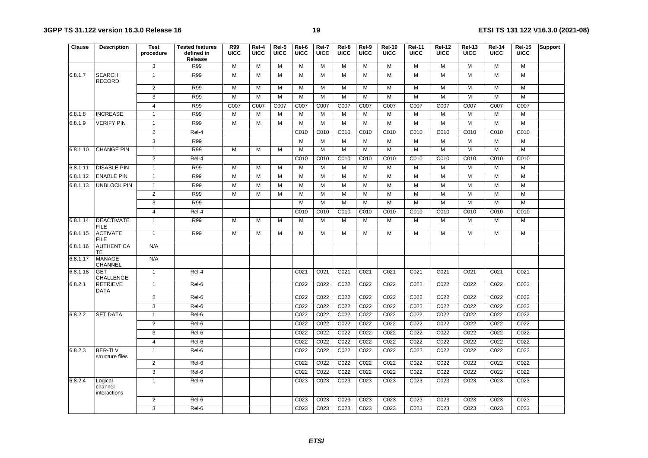| Clause   | <b>Description</b>                 | Test<br>procedure | <b>Tested features</b><br>defined in<br>Release | <b>R99</b><br><b>UICC</b> | Rel-4<br><b>UICC</b> | Rel-5<br><b>UICC</b> | Rel-6<br><b>UICC</b> | Rel-7<br><b>UICC</b> | Rel-8<br><b>UICC</b> | Rel-9<br><b>UICC</b> | <b>Rel-10</b><br><b>UICC</b> | <b>Rel-11</b><br><b>UICC</b> | <b>Rel-12</b><br><b>UICC</b> | <b>Rel-13</b><br><b>UICC</b> | <b>Rel-14</b><br><b>UICC</b> | <b>Rel-15</b><br><b>UICC</b> | <b>Support</b> |
|----------|------------------------------------|-------------------|-------------------------------------------------|---------------------------|----------------------|----------------------|----------------------|----------------------|----------------------|----------------------|------------------------------|------------------------------|------------------------------|------------------------------|------------------------------|------------------------------|----------------|
|          |                                    | 3                 | R99                                             | M                         | M                    | $\overline{M}$       | M                    | M                    | M                    | $\overline{M}$       | M                            | M                            | M                            | M                            | M                            | M                            |                |
| 6.8.1.7  | <b>SEARCH</b><br><b>RECORD</b>     | $\mathbf{1}$      | R99                                             | M                         | M                    | M                    | M                    | M                    | M                    | M                    | $\overline{M}$               | $\overline{M}$               | $\overline{M}$               | M                            | M                            | M                            |                |
|          |                                    | $\overline{2}$    | R99                                             | M                         | M                    | M                    | M                    | M                    | M                    | M                    | $\overline{M}$               | $\overline{M}$               | $\overline{M}$               | M                            | M                            | M                            |                |
|          |                                    | 3                 | R99                                             | M                         | $\overline{M}$       | M                    | $\overline{M}$       | $\overline{M}$       | M                    | $\overline{M}$       | $\overline{M}$               | $\overline{M}$               | $\overline{M}$               | $\overline{M}$               | $\overline{M}$               | M                            |                |
|          |                                    | $\overline{4}$    | R99                                             | C007                      | C007                 | C007                 | C007                 | C007                 | C007                 | C007                 | C007                         | C007                         | C007                         | C007                         | C007                         | C007                         |                |
| 6.8.1.8  | <b>INCREASE</b>                    | $\mathbf{1}$      | R99                                             | М                         | M                    | М                    | $\overline{M}$       | М                    | M                    | M                    | M                            | M                            | M                            | $\overline{M}$               | $\overline{M}$               | M                            |                |
| 6.8.1.9  | <b>VERIFY PIN</b>                  | $\mathbf{1}$      | R99                                             | М                         | M                    | М                    | M                    | M                    | M                    | M                    | M                            | М                            | M                            | M                            | M                            | M                            |                |
|          |                                    | $\overline{2}$    | Rel-4                                           |                           |                      |                      | C010                 | C010                 | C010                 | C010                 | C010                         | C010                         | C010                         | C010                         | C010                         | C010                         |                |
|          |                                    | 3                 | R99                                             |                           |                      |                      | M                    | M                    | M                    | M                    | M                            | M                            | M                            | M                            | M                            | M                            |                |
| 6.8.1.10 | <b>CHANGE PIN</b>                  | $\mathbf{1}$      | R99                                             | М                         | M                    | М                    | M                    | M                    | M                    | M                    | M                            | M                            | $\overline{M}$               | M                            | M                            | M                            |                |
|          |                                    | $\overline{2}$    | $ReI-4$                                         |                           |                      |                      | C <sub>010</sub>     | C <sub>010</sub>     | C010                 | C010                 | C010                         | C010                         | C010                         | C010                         | C <sub>010</sub>             | C <sub>010</sub>             |                |
| 6.8.1.11 | <b>DISABLE PIN</b>                 | $\mathbf{1}$      | R99                                             | M                         | M                    | M                    | M                    | M                    | M                    | M                    | $\overline{M}$               | $\overline{M}$               | $\overline{M}$               | $\overline{M}$               | $\overline{M}$               | M                            |                |
| 6.8.1.12 | <b>ENABLE PIN</b>                  | $\mathbf{1}$      | R99                                             | M                         | $\overline{M}$       | M                    | M                    | M                    | M                    | $\overline{M}$       | $\overline{M}$               | $\overline{M}$               | M                            | $\overline{M}$               | $\overline{M}$               | M                            |                |
| 6.8.1.13 | <b>UNBLOCK PIN</b>                 | $\mathbf{1}$      | R99                                             | М                         | M                    | M                    | M                    | M                    | M                    | M                    | M                            | M                            | M                            | $\overline{M}$               | M                            | M                            |                |
|          |                                    | $\overline{2}$    | R99                                             | M                         | M                    | M                    | M                    | M                    | M                    | M                    | M                            | $\overline{M}$               | M                            | M                            | M                            | M                            |                |
|          |                                    | 3                 | R99                                             |                           |                      |                      | M                    | M                    | M                    | M                    | M                            | $\overline{M}$               | M                            | M                            | M                            | M                            |                |
|          |                                    | $\overline{4}$    | Rel-4                                           |                           |                      |                      | C010                 | C010                 | C010                 | C010                 | C <sub>010</sub>             | C010                         | C010                         | C010                         | C010                         | C010                         |                |
| 6.8.1.14 | <b>DEACTIVATE</b><br><b>FILE</b>   | $\mathbf{1}$      | R99                                             | M                         | M                    | M                    | M                    | M                    | M                    | M                    | $\overline{M}$               | $\overline{M}$               | M                            | $\overline{M}$               | $\overline{M}$               | M                            |                |
| 6.8.1.15 | <b>ACTIVATE</b><br><b>FILE</b>     | $\mathbf{1}$      | R99                                             | M                         | $\overline{M}$       | M                    | $\overline{M}$       | M                    | M                    | M                    | M                            | M                            | $\overline{M}$               | M                            | M                            | M                            |                |
| 6.8.1.16 | <b>AUTHENTICA</b><br>TE            | N/A               |                                                 |                           |                      |                      |                      |                      |                      |                      |                              |                              |                              |                              |                              |                              |                |
| 6.8.1.17 | <b>MANAGE</b><br>CHANNEL           | N/A               |                                                 |                           |                      |                      |                      |                      |                      |                      |                              |                              |                              |                              |                              |                              |                |
| 6.8.1.18 | <b>GET</b><br>CHALLENGE            | $\mathbf{1}$      | Rel-4                                           |                           |                      |                      | C021                 | C021                 | C021                 | C021                 | C <sub>021</sub>             | C <sub>021</sub>             | C <sub>021</sub>             | C <sub>021</sub>             | C <sub>021</sub>             | C <sub>021</sub>             |                |
| 6.8.2.1  | <b>RETRIEVE</b><br><b>DATA</b>     | $\mathbf{1}$      | Rel-6                                           |                           |                      |                      | C022                 | C022                 | C022                 | C022                 | C022                         | C022                         | C022                         | C022                         | C022                         | C <sub>022</sub>             |                |
|          |                                    | $\overline{2}$    | Rel-6                                           |                           |                      |                      | C022                 | C <sub>022</sub>     | C <sub>022</sub>     | C <sub>022</sub>     | C <sub>022</sub>             | C <sub>022</sub>             | C <sub>022</sub>             | C <sub>022</sub>             | C <sub>022</sub>             | C <sub>022</sub>             |                |
|          |                                    | $\overline{3}$    | Rel-6                                           |                           |                      |                      | C <sub>022</sub>     | C022                 | C022                 | C022                 | C022                         | C022                         | C022                         | C022                         | C022                         | C022                         |                |
| 6.8.2.2  | <b>SET DATA</b>                    | $\overline{1}$    | $Rel-6$                                         |                           |                      |                      | C <sub>022</sub>     | C022                 | C022                 | C022                 | C022                         | C022                         | C022                         | C022                         | C022                         | C022                         |                |
|          |                                    | $\overline{2}$    | Rel-6                                           |                           |                      |                      | C022                 | C022                 | C022                 | C022                 | C022                         | C022                         | C022                         | C022                         | C022                         | C022                         |                |
|          |                                    | 3                 | Rel-6                                           |                           |                      |                      | C022                 | C <sub>022</sub>     | C022                 | C022                 | C022                         | C022                         | C022                         | C022                         | C022                         | C022                         |                |
|          |                                    | $\overline{4}$    | Rel-6                                           |                           |                      |                      | C022                 | C022                 | C022                 | C022                 | C022                         | C022                         | C022                         | C022                         | C022                         | C022                         |                |
| 6.8.2.3  | <b>BER-TLV</b><br>structure files  | $\mathbf{1}$      | Rel-6                                           |                           |                      |                      | C022                 | C022                 | C022                 | C022                 | C022                         | C022                         | C022                         | C022                         | C022                         | C022                         |                |
|          |                                    | $\overline{2}$    | Rel-6                                           |                           |                      |                      | C022                 | C022                 | C022                 | C022                 | C022                         | C022                         | C022                         | C022                         | C022                         | C022                         |                |
|          |                                    | 3                 | Rel-6                                           |                           |                      |                      | C022                 | C022                 | C022                 | C022                 | C022                         | C022                         | C022                         | C022                         | C022                         | C022                         |                |
| 6.8.2.4  | Logical<br>channel<br>interactions | $\mathbf{1}$      | Rel-6                                           |                           |                      |                      | C023                 | C023                 | C023                 | C023                 | C023                         | C023                         | C023                         | C023                         | C023                         | C023                         |                |
|          |                                    | $\overline{2}$    | Rel-6                                           |                           |                      |                      | C023                 | C023                 | C023                 | C023                 | C023                         | C023                         | C023                         | C023                         | C023                         | C023                         |                |
|          |                                    | 3                 | Rel-6                                           |                           |                      |                      | C <sub>023</sub>     | C <sub>023</sub>     | C <sub>023</sub>     | C <sub>023</sub>     | C <sub>023</sub>             | C <sub>023</sub>             | C <sub>023</sub>             | C <sub>023</sub>             | C <sub>023</sub>             | C <sub>023</sub>             |                |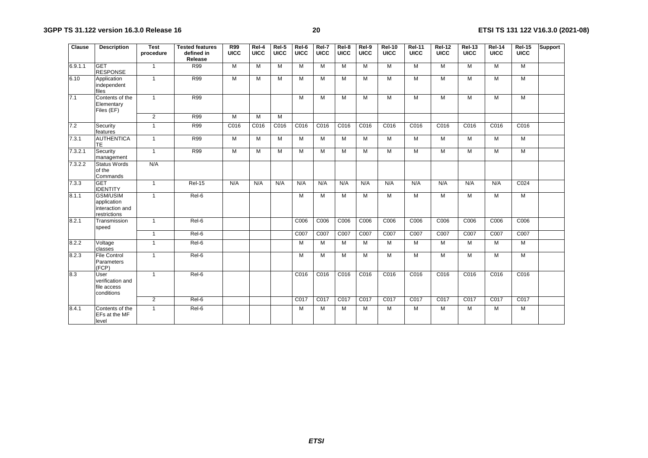| Clause  | <b>Description</b>                                                | <b>Test</b><br>procedure | <b>Tested features</b><br>defined in<br>Release | <b>R99</b><br>UICC | Rel-4<br><b>UICC</b> | Rel-5<br><b>UICC</b> | Rel-6<br><b>UICC</b> | Rel-7<br><b>UICC</b> | Rel-8<br>UICC | Rel-9<br><b>UICC</b> | <b>Rel-10</b><br><b>UICC</b> | <b>Rel-11</b><br><b>UICC</b> | <b>Rel-12</b><br><b>UICC</b> | <b>Rel-13</b><br><b>UICC</b> | <b>Rel-14</b><br><b>UICC</b> | <b>Rel-15</b><br><b>UICC</b> | <b>Support</b> |
|---------|-------------------------------------------------------------------|--------------------------|-------------------------------------------------|--------------------|----------------------|----------------------|----------------------|----------------------|---------------|----------------------|------------------------------|------------------------------|------------------------------|------------------------------|------------------------------|------------------------------|----------------|
| 6.9.1.1 | <b>GET</b><br><b>RESPONSE</b>                                     | $\mathbf{1}$             | R99                                             | M                  | $\overline{M}$       | M                    | M                    | M                    | M             | M                    | M                            | M                            | M                            | M                            | M                            | M                            |                |
| 6.10    | Application<br>independent<br>files                               | $\mathbf{1}$             | R99                                             | М                  | M                    | M                    | M                    | M                    | M             | M                    | M                            | M                            | $\overline{M}$               | M                            | $\overline{M}$               | M                            |                |
| 7.1     | Contents of the<br>Elementary<br>Files (EF)                       | $\mathbf{1}$             | R99                                             |                    |                      |                      | M                    | M                    | M             | M                    | M                            | M                            | M                            | $\overline{M}$               | $\overline{M}$               | M                            |                |
|         |                                                                   | $\overline{2}$           | R99                                             | M                  | M                    | M                    |                      |                      |               |                      |                              |                              |                              |                              |                              |                              |                |
| 7.2     | Security<br>features                                              | $\mathbf{1}$             | R99                                             | C016               | C016                 | C016                 | C016                 | C016                 | C016          | C016                 | C016                         | C016                         | C016                         | C016                         | C016                         | C016                         |                |
| 7.3.1   | <b>AUTHENTICA</b><br><b>TE</b>                                    | $\mathbf{1}$             | R99                                             | M                  | M                    | M                    | M                    | м                    | M             | M                    | M                            | M                            | M                            | M                            | M                            | M                            |                |
| 7.3.2.1 | Security<br>management                                            | $\overline{1}$           | R99                                             | M                  | M                    | M                    | M                    | M                    | M             | M                    | M                            | M                            | M                            | $\overline{M}$               | $\overline{M}$               | M                            |                |
| 7.3.2.2 | <b>Status Words</b><br>of the<br>Commands                         | N/A                      |                                                 |                    |                      |                      |                      |                      |               |                      |                              |                              |                              |                              |                              |                              |                |
| 7.3.3   | <b>GET</b><br><b>IDENTITY</b>                                     | $\mathbf{1}$             | <b>Rel-15</b>                                   | N/A                | N/A                  | N/A                  | N/A                  | N/A                  | N/A           | N/A                  | N/A                          | N/A                          | N/A                          | N/A                          | N/A                          | C024                         |                |
| 8.1.1   | <b>GSM/USIM</b><br>application<br>interaction and<br>restrictions | $\overline{1}$           | $ReI-6$                                         |                    |                      |                      | M                    | M                    | M             | M                    | M                            | $\overline{M}$               | $\overline{M}$               | M                            | $\overline{M}$               | M                            |                |
| 8.2.1   | Transmission<br>speed                                             | $\overline{1}$           | Rel-6                                           |                    |                      |                      | C006                 | C006                 | C006          | C006                 | C006                         | C006                         | C006                         | C006                         | C006                         | C006                         |                |
|         |                                                                   | $\mathbf{1}$             | $ReI-6$                                         |                    |                      |                      | C007                 | C007                 | C007          | C007                 | C007                         | C007                         | C007                         | C007                         | C007                         | C007                         |                |
| 8.2.2   | Voltage<br>classes                                                | $\mathbf{1}$             | Rel-6                                           |                    |                      |                      | M                    | м                    | M             | M                    | M                            | M                            | $\overline{M}$               | $\overline{M}$               | $\overline{M}$               | M                            |                |
| 8.2.3   | <b>File Control</b><br>Parameters<br>(FCP)                        | $\mathbf{1}$             | Rel-6                                           |                    |                      |                      | M                    | M                    | M             | M                    | M                            | M                            | $\overline{M}$               | M                            | M                            | M                            |                |
| 8.3     | User<br>verification and<br>file access<br>conditions             | $\mathbf{1}$             | Rel-6                                           |                    |                      |                      | C016                 | C016                 | C016          | C016                 | C <sub>016</sub>             | C <sub>016</sub>             | C <sub>016</sub>             | C <sub>016</sub>             | C <sub>016</sub>             | C <sub>016</sub>             |                |
|         |                                                                   | $\overline{2}$           | $Rel-6$                                         |                    |                      |                      | C017                 | C017                 | C017          | C017                 | C017                         | C017                         | C <sub>017</sub>             | C017                         | C <sub>017</sub>             | C <sub>017</sub>             |                |
| 8.4.1   | Contents of the<br>EFs at the MF<br>level                         | $\mathbf{1}$             | Rel-6                                           |                    |                      |                      | M                    | M                    | м             | M                    | M                            | M                            | M                            | $\overline{M}$               | $\overline{M}$               | M                            |                |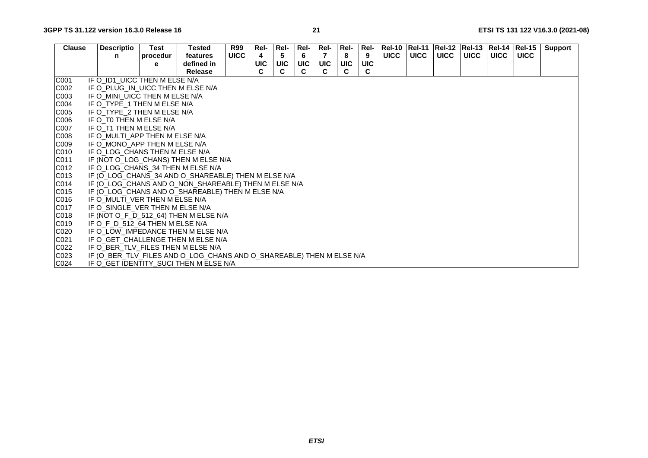| <b>Clause</b>    | <b>Descriptio</b>                                                    | Test     | Tested     | <b>R99</b>  | Rel-       | Rel-       | Rel-       | Rel-       | Rel- | Rel-       | <b>Rel-10</b> | <b>Rel-11</b> |             | Rel-12  Rel-13  Rel-14 |             | $ReI-15$    | <b>Support</b> |
|------------------|----------------------------------------------------------------------|----------|------------|-------------|------------|------------|------------|------------|------|------------|---------------|---------------|-------------|------------------------|-------------|-------------|----------------|
|                  | n                                                                    | procedur | features   | <b>UICC</b> | 4          | 5          | 6          | 7          | 8    | 9          | <b>UICC</b>   | <b>UICC</b>   | <b>UICC</b> | <b>UICC</b>            | <b>UICC</b> | <b>UICC</b> |                |
|                  |                                                                      | е        | defined in |             | <b>UIC</b> | <b>UIC</b> | <b>UIC</b> | <b>UIC</b> | UIC  | <b>UIC</b> |               |               |             |                        |             |             |                |
|                  |                                                                      |          | Release    |             |            |            |            |            |      | C.         |               |               |             |                        |             |             |                |
| C001             | IF O_ID1_UICC THEN M ELSE N/A                                        |          |            |             |            |            |            |            |      |            |               |               |             |                        |             |             |                |
| C002             | IF O PLUG IN UICC THEN M ELSE N/A                                    |          |            |             |            |            |            |            |      |            |               |               |             |                        |             |             |                |
| CO <sub>03</sub> | IF O_MINI_UICC THEN M ELSE N/A                                       |          |            |             |            |            |            |            |      |            |               |               |             |                        |             |             |                |
| C004             | IF O TYPE 1 THEN M ELSE N/A                                          |          |            |             |            |            |            |            |      |            |               |               |             |                        |             |             |                |
| C005             | IF O TYPE 2 THEN M ELSE N/A                                          |          |            |             |            |            |            |            |      |            |               |               |             |                        |             |             |                |
| C006             | IF O TO THEN M ELSE N/A                                              |          |            |             |            |            |            |            |      |            |               |               |             |                        |             |             |                |
| C007             | IF O T1 THEN M ELSE N/A                                              |          |            |             |            |            |            |            |      |            |               |               |             |                        |             |             |                |
| <b>C008</b>      | IF O MULTI APP THEN M ELSE N/A                                       |          |            |             |            |            |            |            |      |            |               |               |             |                        |             |             |                |
| C009             | IF O MONO APP THEN M ELSE N/A                                        |          |            |             |            |            |            |            |      |            |               |               |             |                        |             |             |                |
| C010             | IF O LOG CHANS THEN M ELSE N/A                                       |          |            |             |            |            |            |            |      |            |               |               |             |                        |             |             |                |
| C011             | IF (NOT O_LOG_CHANS) THEN M ELSE N/A                                 |          |            |             |            |            |            |            |      |            |               |               |             |                        |             |             |                |
| CO12             | IF O_LOG_CHANS_34 THEN M ELSE N/A                                    |          |            |             |            |            |            |            |      |            |               |               |             |                        |             |             |                |
| C013             | IF (O_LOG_CHANS_34 AND O_SHAREABLE) THEN M ELSE N/A                  |          |            |             |            |            |            |            |      |            |               |               |             |                        |             |             |                |
| C014             | IF (O_LOG_CHANS AND O_NON_SHAREABLE) THEN M ELSE N/A                 |          |            |             |            |            |            |            |      |            |               |               |             |                        |             |             |                |
| C015             | IF (O_LOG_CHANS AND O_SHAREABLE) THEN M ELSE N/A                     |          |            |             |            |            |            |            |      |            |               |               |             |                        |             |             |                |
| C016             | IF O MULTI VER THEN M ELSE N/A                                       |          |            |             |            |            |            |            |      |            |               |               |             |                        |             |             |                |
| C017             | IF O_SINGLE_VER THEN M ELSE N/A                                      |          |            |             |            |            |            |            |      |            |               |               |             |                        |             |             |                |
| C018             | IF (NOT O_F_D_512_64) THEN M ELSE N/A                                |          |            |             |            |            |            |            |      |            |               |               |             |                        |             |             |                |
| C019             | IF O F D 512 64 THEN M ELSE N/A                                      |          |            |             |            |            |            |            |      |            |               |               |             |                        |             |             |                |
| C <sub>020</sub> | IF O LOW IMPEDANCE THEN M ELSE N/A                                   |          |            |             |            |            |            |            |      |            |               |               |             |                        |             |             |                |
| C021             | IF O GET CHALLENGE THEN M ELSE N/A                                   |          |            |             |            |            |            |            |      |            |               |               |             |                        |             |             |                |
| C022             | IF O BER TLV FILES THEN M ELSE N/A                                   |          |            |             |            |            |            |            |      |            |               |               |             |                        |             |             |                |
| CO <sub>23</sub> | IF (O_BER_TLV_FILES AND O_LOG_CHANS AND O_SHAREABLE) THEN M ELSE N/A |          |            |             |            |            |            |            |      |            |               |               |             |                        |             |             |                |
| C024             | IF O GET IDENTITY SUCI THEN M ELSE N/A                               |          |            |             |            |            |            |            |      |            |               |               |             |                        |             |             |                |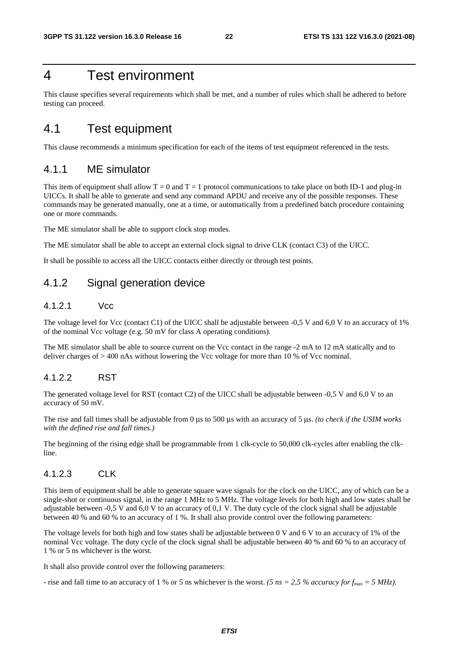# 4 Test environment

This clause specifies several requirements which shall be met, and a number of rules which shall be adhered to before testing can proceed.

# 4.1 Test equipment

This clause recommends a minimum specification for each of the items of test equipment referenced in the tests.

# 4.1.1 ME simulator

This item of equipment shall allow  $T = 0$  and  $T = 1$  protocol communications to take place on both ID-1 and plug-in UICCs. It shall be able to generate and send any command APDU and receive any of the possible responses. These commands may be generated manually, one at a time, or automatically from a predefined batch procedure containing one or more commands.

The ME simulator shall be able to support clock stop modes.

The ME simulator shall be able to accept an external clock signal to drive CLK (contact C3) of the UICC.

It shall be possible to access all the UICC contacts either directly or through test points.

# 4.1.2 Signal generation device

### 4.1.2.1 Vcc

The voltage level for Vcc (contact C1) of the UICC shall be adjustable between -0,5 V and 6,0 V to an accuracy of 1% of the nominal Vcc voltage (e.g. 50 mV for class A operating conditions).

The ME simulator shall be able to source current on the Vcc contact in the range -2 mA to 12 mA statically and to deliver charges of > 400 nAs without lowering the Vcc voltage for more than 10 % of Vcc nominal.

### 4.1.2.2 RST

The generated voltage level for RST (contact C2) of the UICC shall be adjustable between -0,5 V and 6,0 V to an accuracy of 50 mV.

The rise and fall times shall be adjustable from 0 μs to 500 μs with an accuracy of 5 μs. *(to check if the USIM works with the defined rise and fall times.)*

The beginning of the rising edge shall be programmable from 1 clk-cycle to 50,000 clk-cycles after enabling the clkline.

### 4.1.2.3 CLK

This item of equipment shall be able to generate square wave signals for the clock on the UICC, any of which can be a single-shot or continuous signal, in the range 1 MHz to 5 MHz. The voltage levels for both high and low states shall be adjustable between -0,5 V and 6,0 V to an accuracy of 0,1 V. The duty cycle of the clock signal shall be adjustable between 40 % and 60 % to an accuracy of 1 %. It shall also provide control over the following parameters:

The voltage levels for both high and low states shall be adjustable between 0 V and 6 V to an accuracy of 1% of the nominal Vcc voltage. The duty cycle of the clock signal shall be adjustable between 40 % and 60 % to an accuracy of 1 % or 5 ns whichever is the worst.

It shall also provide control over the following parameters:

- rise and fall time to an accuracy of 1 % or 5 ns whichever is the worst. *(5 ns = 2,5 % accuracy for f<sub>max</sub> = 5 MHz)*.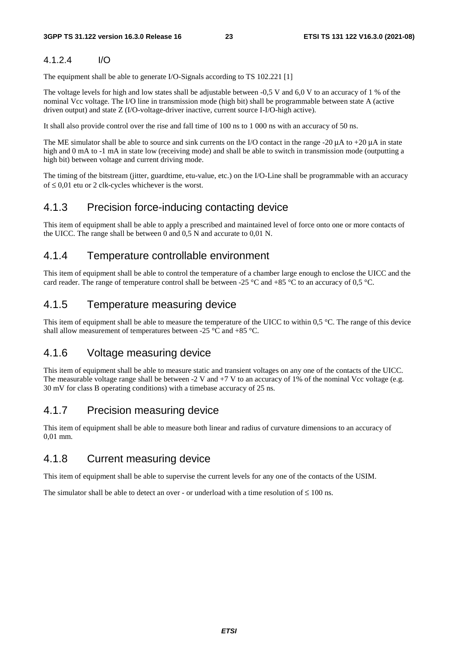### 4.1.2.4 I/O

The equipment shall be able to generate I/O-Signals according to TS 102.221 [1]

The voltage levels for high and low states shall be adjustable between -0,5 V and 6,0 V to an accuracy of 1 % of the nominal Vcc voltage. The I/O line in transmission mode (high bit) shall be programmable between state A (active driven output) and state Z (I/O-voltage-driver inactive, current source I-I/O-high active).

It shall also provide control over the rise and fall time of 100 ns to 1 000 ns with an accuracy of 50 ns.

The ME simulator shall be able to source and sink currents on the I/O contact in the range -20 μA to +20 μA in state high and 0 mA to -1 mA in state low (receiving mode) and shall be able to switch in transmission mode (outputting a high bit) between voltage and current driving mode.

The timing of the bitstream (jitter, guardtime, etu-value, etc.) on the I/O-Line shall be programmable with an accuracy of ≤ 0,01 etu or 2 clk-cycles whichever is the worst.

## 4.1.3 Precision force-inducing contacting device

This item of equipment shall be able to apply a prescribed and maintained level of force onto one or more contacts of the UICC. The range shall be between 0 and 0,5 N and accurate to 0,01 N.

### 4.1.4 Temperature controllable environment

This item of equipment shall be able to control the temperature of a chamber large enough to enclose the UICC and the card reader. The range of temperature control shall be between -25 °C and +85 °C to an accuracy of 0,5 °C.

### 4.1.5 Temperature measuring device

This item of equipment shall be able to measure the temperature of the UICC to within  $0.5 \degree C$ . The range of this device shall allow measurement of temperatures between -25 °C and +85 °C.

### 4.1.6 Voltage measuring device

This item of equipment shall be able to measure static and transient voltages on any one of the contacts of the UICC. The measurable voltage range shall be between  $-2$  V and  $+7$  V to an accuracy of 1% of the nominal Vcc voltage (e.g. 30 mV for class B operating conditions) with a timebase accuracy of 25 ns.

# 4.1.7 Precision measuring device

This item of equipment shall be able to measure both linear and radius of curvature dimensions to an accuracy of 0,01 mm.

### 4.1.8 Current measuring device

This item of equipment shall be able to supervise the current levels for any one of the contacts of the USIM.

The simulator shall be able to detect an over - or underload with a time resolution of  $\leq 100$  ns.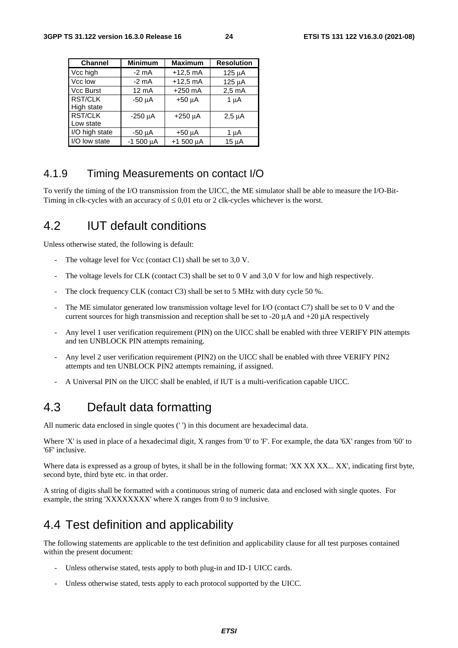| <b>Channel</b>    | <b>Minimum</b>  | <b>Maximum</b> | <b>Resolution</b> |
|-------------------|-----------------|----------------|-------------------|
| Vcc high          | $-2$ mA         | $+12,5$ mA     | $125 \mu A$       |
| Vcc low           | $-2$ mA         | $+12,5$ mA     | $125 \mu A$       |
| <b>Vcc Burst</b>  | $12 \text{ mA}$ | $+250$ mA      | $2.5 \text{ mA}$  |
| <b>RST/CLK</b>    | $-50$ $\mu$ A   | $+50 \mu A$    | $1 \mu A$         |
| <b>High state</b> |                 |                |                   |
| <b>RST/CLK</b>    | $-250 \mu A$    | $+250 \mu A$   | $2,5 \mu A$       |
| Low state         |                 |                |                   |
| I/O high state    | -50 µA          | $+50 \mu A$    | 1 µA              |
| I/O low state     | $-1500 \mu A$   | $+1500 \mu A$  | $15 \mu A$        |

## 4.1.9 Timing Measurements on contact I/O

To verify the timing of the I/O transmission from the UICC, the ME simulator shall be able to measure the I/O-Bit-Timing in clk-cycles with an accuracy of  $\leq 0.01$  etu or 2 clk-cycles whichever is the worst.

# 4.2 IUT default conditions

Unless otherwise stated, the following is default:

- The voltage level for Vcc (contact C1) shall be set to  $3.0$  V.
- The voltage levels for CLK (contact C3) shall be set to 0 V and 3,0 V for low and high respectively.
- The clock frequency CLK (contact C3) shall be set to 5 MHz with duty cycle 50  $\%$ .
- The ME simulator generated low transmission voltage level for I/O (contact C7) shall be set to 0 V and the current sources for high transmission and reception shall be set to -20  $\mu$ A and +20  $\mu$ A respectively
- Any level 1 user verification requirement (PIN) on the UICC shall be enabled with three VERIFY PIN attempts and ten UNBLOCK PIN attempts remaining.
- Any level 2 user verification requirement (PIN2) on the UICC shall be enabled with three VERIFY PIN2 attempts and ten UNBLOCK PIN2 attempts remaining, if assigned.
- A Universal PIN on the UICC shall be enabled, if IUT is a multi-verification capable UICC.

# 4.3 Default data formatting

All numeric data enclosed in single quotes (' ') in this document are hexadecimal data.

Where 'X' is used in place of a hexadecimal digit, X ranges from '0' to 'F'. For example, the data '6X' ranges from '60' to '6F' inclusive.

Where data is expressed as a group of bytes, it shall be in the following format: 'XX XX XX... XX', indicating first byte, second byte, third byte etc. in that order.

A string of digits shall be formatted with a continuous string of numeric data and enclosed with single quotes. For example, the string 'XXXXXXXX' where X ranges from 0 to 9 inclusive.

# 4.4 Test definition and applicability

The following statements are applicable to the test definition and applicability clause for all test purposes contained within the present document:

- Unless otherwise stated, tests apply to both plug-in and ID-1 UICC cards.
- Unless otherwise stated, tests apply to each protocol supported by the UICC.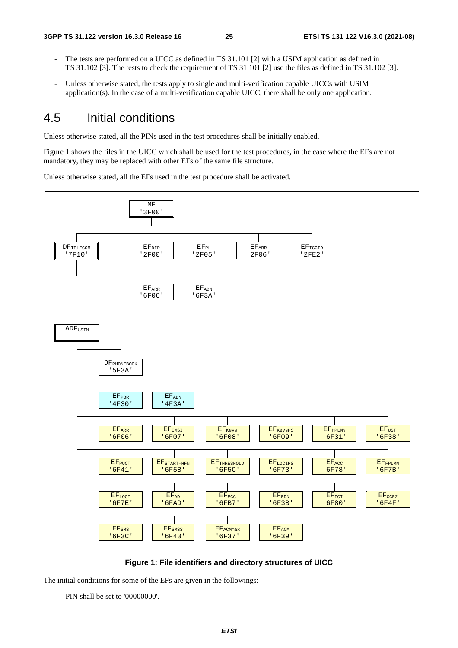- The tests are performed on a UICC as defined in TS 31.101 [2] with a USIM application as defined in TS 31.102 [3]. The tests to check the requirement of TS 31.101 [2] use the files as defined in TS 31.102 [3].
- Unless otherwise stated, the tests apply to single and multi-verification capable UICCs with USIM application(s). In the case of a multi-verification capable UICC, there shall be only one application.

# 4.5 Initial conditions

Unless otherwise stated, all the PINs used in the test procedures shall be initially enabled.

Figure 1 shows the files in the UICC which shall be used for the test procedures, in the case where the EFs are not mandatory, they may be replaced with other EFs of the same file structure.

Unless otherwise stated, all the EFs used in the test procedure shall be activated.



**Figure 1: File identifiers and directory structures of UICC** 

The initial conditions for some of the EFs are given in the followings:

- PIN shall be set to '00000000'.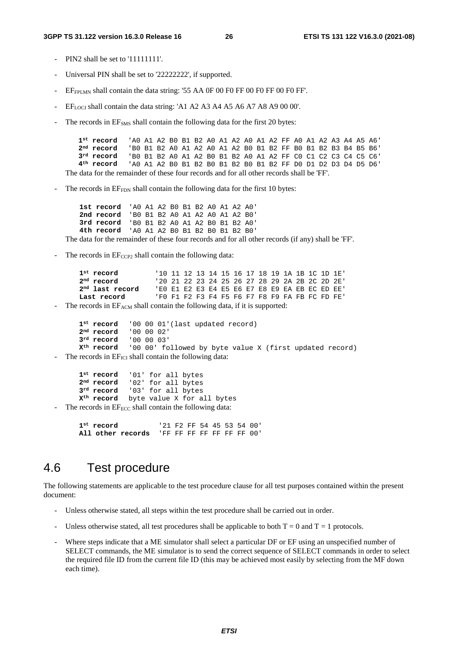#### **3GPP TS 31.122 version 16.3.0 Release 16 26 ETSI TS 131 122 V16.3.0 (2021-08)**

- PIN2 shall be set to '11111111'.
- Universal PIN shall be set to '22222222', if supported.
- EFFPLMN shall contain the data string: '55 AA 0F 00 F0 FF 00 F0 FF 00 F0 FF'.
- EF<sub>LOCI</sub> shall contain the data string: 'A1 A2 A3 A4 A5 A6 A7 A8 A9 00 00'.
- The records in EF<sub>SMS</sub> shall contain the following data for the first 20 bytes:

| 1 <sup>st</sup> record (AO A1 A2 BO B1 B2 AO A1 A2 AO A1 A2 FF AO A1 A2 A3 A4 A5 A6)      |                                                               |  |  |  |  |  |  |  |  |  |  |
|-------------------------------------------------------------------------------------------|---------------------------------------------------------------|--|--|--|--|--|--|--|--|--|--|
| 2 <sup>nd</sup> record                                                                    | 'BO B1 B2 A0 A1 A2 A0 A1 A2 B0 B1 B2 FF B0 B1 B2 B3 B4 B5 B6' |  |  |  |  |  |  |  |  |  |  |
| 3 <sup>rd</sup> record                                                                    | 'BO B1 B2 A0 A1 A2 B0 B1 B2 A0 A1 A2 FF C0 C1 C2 C3 C4 C5 C6' |  |  |  |  |  |  |  |  |  |  |
| $4^{\rm th}$ record                                                                       | 'AO A1 A2 BO B1 B2 BO B1 B2 BO B1 B2 FF DO D1 D2 D3 D4 D5 D6' |  |  |  |  |  |  |  |  |  |  |
| The data for the remainder of these four records and for all other records shall be 'FF'. |                                                               |  |  |  |  |  |  |  |  |  |  |

The records in EF<sub>FDN</sub> shall contain the following data for the first 10 bytes:

**1st record** 'A0 A1 A2 B0 B1 B2 A0 A1 A2 A0' **2nd record** 'B0 B1 B2 A0 A1 A2 A0 A1 A2 B0' **3rd record** 'B0 B1 B2 A0 A1 A2 B0 B1 B2 A0' **4th record** 'A0 A1 A2 B0 B1 B2 B0 B1 B2 B0'

The data for the remainder of these four records and for all other records (if any) shall be 'FF'.

The records in  $E_{CCP2}$  shall contain the following data:

```
1st record 11 12 13 14 15 16 17 18 19 1A 1B 1C 1D 1E<sup>'</sup><br>
2nd record 120 21 22 23 24 25 26 27 28 29 2A 2B 2C 2D 2E'
2nd record '20 21 22 23 24 25 26 27 28 29 2A 2B 2C 2D 2E'
                       2nd last record 'E0 E1 E2 E3 E4 E5 E6 E7 E8 E9 EA EB EC ED EE'
Last record 'F0 F1 F2 F3 F4 F5 F6 F7 F8 F9 FA FB FC FD FE'
```
The records in EF<sub>ACM</sub> shall contain the following data, if it is supported:

```
1<sup>st</sup> record '00 00 01'(last updated record)<br>2<sup>nd</sup> record '00 00 02'
2<sup>nd</sup> record
3rd record '00 00 03' 
Xth record '00 00' followed by byte value X (first updated record)
```
The records in  $EF_{\text{ICI}}$  shall contain the following data:

**1st record** '01' for all bytes **2nd record** '02' for all bytes **3rd record** '03' for all bytes **Xth record** byte value X for all bytes

The records in  $E_{\text{ECC}}$  shall contain the following data:

**1st record** '21 F2 FF 54 45 53 54 00' **All other records** 'FF FF FF FF FF FF FF 00'

# 4.6 Test procedure

The following statements are applicable to the test procedure clause for all test purposes contained within the present document:

- Unless otherwise stated, all steps within the test procedure shall be carried out in order.
- Unless otherwise stated, all test procedures shall be applicable to both  $T = 0$  and  $T = 1$  protocols.
- Where steps indicate that a ME simulator shall select a particular DF or EF using an unspecified number of SELECT commands, the ME simulator is to send the correct sequence of SELECT commands in order to select the required file ID from the current file ID (this may be achieved most easily by selecting from the MF down each time).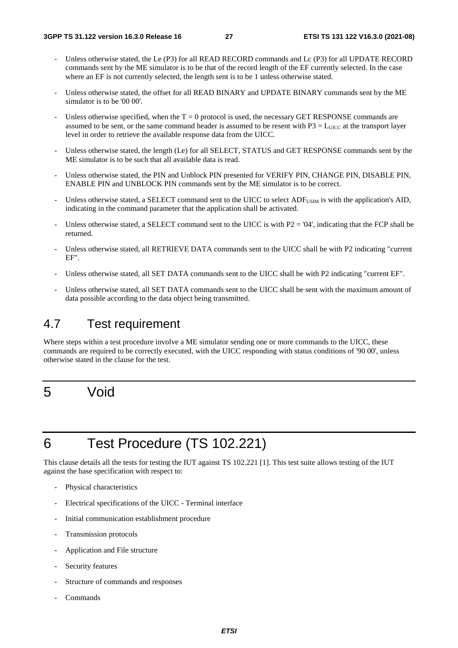- Unless otherwise stated, the Le (P3) for all READ RECORD commands and Lc (P3) for all UPDATE RECORD commands sent by the ME simulator is to be that of the record length of the EF currently selected. In the case where an EF is not currently selected, the length sent is to be 1 unless otherwise stated.
- Unless otherwise stated, the offset for all READ BINARY and UPDATE BINARY commands sent by the ME simulator is to be '00 00'.
- Unless otherwise specified, when the  $T = 0$  protocol is used, the necessary GET RESPONSE commands are assumed to be sent, or the same command header is assumed to be resent with  $P3 = L_{UICC}$  at the transport layer level in order to retrieve the available response data from the UICC.
- Unless otherwise stated, the length (Le) for all SELECT, STATUS and GET RESPONSE commands sent by the ME simulator is to be such that all available data is read.
- Unless otherwise stated, the PIN and Unblock PIN presented for VERIFY PIN, CHANGE PIN, DISABLE PIN, ENABLE PIN and UNBLOCK PIN commands sent by the ME simulator is to be correct.
- Unless otherwise stated, a SELECT command sent to the UICC to select ADF<sub>USIM</sub> is with the application's AID, indicating in the command parameter that the application shall be activated.
- Unless otherwise stated, a SELECT command sent to the UICC is with  $P2 = '04'$ , indicating that the FCP shall be returned.
- Unless otherwise stated, all RETRIEVE DATA commands sent to the UICC shall be with P2 indicating "current" EF".
- Unless otherwise stated, all SET DATA commands sent to the UICC shall be with P2 indicating "current EF".
- Unless otherwise stated, all SET DATA commands sent to the UICC shall be sent with the maximum amount of data possible according to the data object being transmitted.

# 4.7 Test requirement

Where steps within a test procedure involve a ME simulator sending one or more commands to the UICC, these commands are required to be correctly executed, with the UICC responding with status conditions of '90 00', unless otherwise stated in the clause for the test.

# 5 Void

# 6 Test Procedure (TS 102.221)

This clause details all the tests for testing the IUT against TS 102.221 [1]. This test suite allows testing of the IUT against the base specification with respect to:

- Physical characteristics
- Electrical specifications of the UICC Terminal interface
- Initial communication establishment procedure
- Transmission protocols
- Application and File structure
- Security features
- Structure of commands and responses
- Commands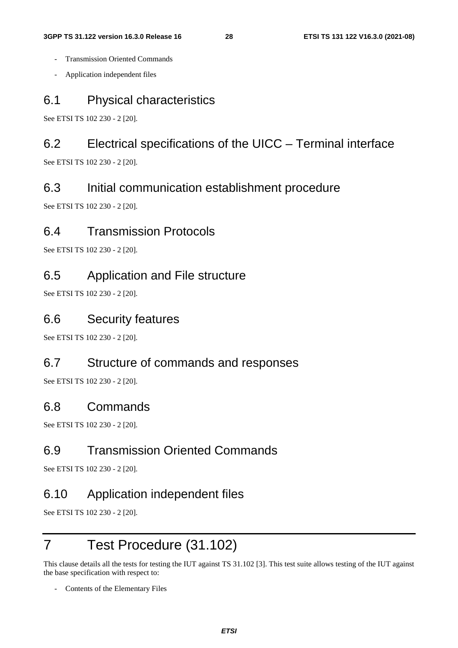- Transmission Oriented Commands
- Application independent files

# 6.1 Physical characteristics

See ETSI TS 102 230 - 2 [20].

# 6.2 Electrical specifications of the UICC – Terminal interface

See ETSI TS 102 230 - 2 [20].

# 6.3 Initial communication establishment procedure

See ETSI TS 102 230 - 2 [20].

# 6.4 Transmission Protocols

See ETSI TS 102 230 - 2 [20].

# 6.5 Application and File structure

See ETSI TS 102 230 - 2 [20].

# 6.6 Security features

See ETSI TS 102 230 - 2 [20].

## 6.7 Structure of commands and responses

See ETSI TS 102 230 - 2 [20].

### 6.8 Commands

See ETSI TS 102 230 - 2 [20].

# 6.9 Transmission Oriented Commands

See ETSI TS 102 230 - 2 [20].

# 6.10 Application independent files

See ETSI TS 102 230 - 2 [20].

# 7 Test Procedure (31.102)

This clause details all the tests for testing the IUT against TS 31.102 [3]. This test suite allows testing of the IUT against the base specification with respect to:

Contents of the Elementary Files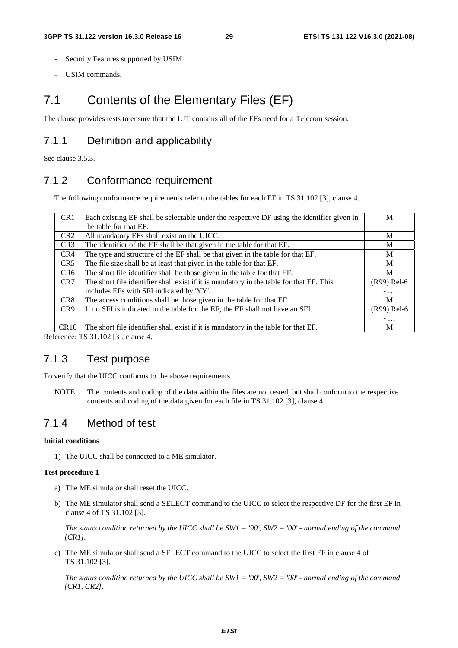- Security Features supported by USIM
- USIM commands.

# 7.1 Contents of the Elementary Files (EF)

The clause provides tests to ensure that the IUT contains all of the EFs need for a Telecom session.

## 7.1.1 Definition and applicability

See clause 3.5.3.

### 7.1.2 Conformance requirement

The following conformance requirements refer to the tables for each EF in TS 31.102 [3], clause 4.

| CR <sub>1</sub> | Each existing EF shall be selectable under the respective DF using the identifier given in | M           |
|-----------------|--------------------------------------------------------------------------------------------|-------------|
|                 | the table for that EF.                                                                     |             |
| CR <sub>2</sub> | All mandatory EFs shall exist on the UICC.                                                 | M           |
| CR <sub>3</sub> | The identifier of the EF shall be that given in the table for that EF.                     | М           |
| CR4             | The type and structure of the EF shall be that given in the table for that EF.             | M           |
| CR5             | The file size shall be at least that given in the table for that EF.                       | M           |
| CR <sub>6</sub> | The short file identifier shall be those given in the table for that EF.                   | M           |
| CR7             | The short file identifier shall exist if it is mandatory in the table for that EF. This    | (R99) Rel-6 |
|                 | includes EFs with SFI indicated by 'YY'.                                                   | $-$         |
| CR8             | The access conditions shall be those given in the table for that EF.                       | M           |
| CR <sub>9</sub> | If no SFI is indicated in the table for the EF, the EF shall not have an SFI.              | (R99) Rel-6 |
|                 |                                                                                            | $-$         |
| CR10            | The short file identifier shall exist if it is mandatory in the table for that EF.         | M           |

Reference: TS 31.102 [3], clause 4.

### 7.1.3 Test purpose

To verify that the UICC conforms to the above requirements.

NOTE: The contents and coding of the data within the files are not tested, but shall conform to the respective contents and coding of the data given for each file in TS 31.102 [3], clause 4.

### 7.1.4 Method of test

#### **Initial conditions**

1) The UICC shall be connected to a ME simulator.

#### **Test procedure 1**

- a) The ME simulator shall reset the UICC.
- b) The ME simulator shall send a SELECT command to the UICC to select the respective DF for the first EF in clause 4 of TS 31.102 [3].

*The status condition returned by the UICC shall be SW1 = '90', SW2 = '00' - normal ending of the command [CR1].*

c) The ME simulator shall send a SELECT command to the UICC to select the first EF in clause 4 of TS 31.102 [3].

*The status condition returned by the UICC shall be SW1 = '90', SW2 = '00' - normal ending of the command [CR1, CR2].*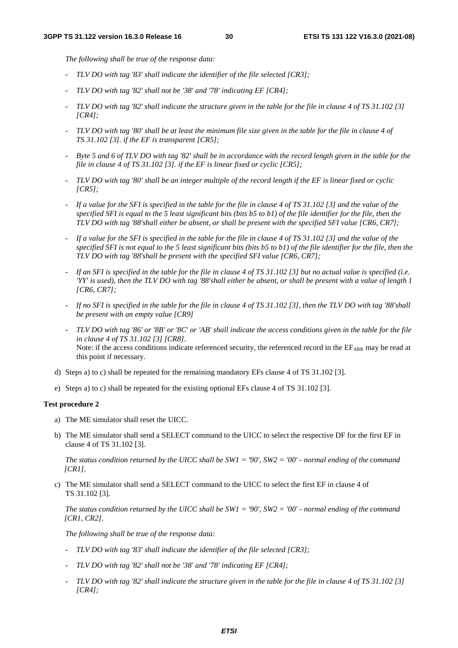*The following shall be true of the response data:* 

- *TLV DO with tag '83' shall indicate the identifier of the file selected [CR3];*
- *TLV DO with tag '82' shall not be '38' and '78' indicating EF [CR4];*
- *TLV DO with tag '82' shall indicate the structure given in the table for the file in clause 4 of TS 31.102 [3] [CR4];*
- *TLV DO with tag '80' shall be at least the minimum file size given in the table for the file in clause 4 of TS 31.102 [3]. if the EF is transparent [CR5];*
- *Byte 5 and 6 of TLV DO with tag '82' shall be in accordance with the record length given in the table for the file in clause 4 of TS 31.102 [3]. if the EF is linear fixed or cyclic [CR5];*
- *TLV DO with tag '80' shall be an integer multiple of the record length if the EF is linear fixed or cyclic [CR5];*
- *If a value for the SFI is specified in the table for the file in clause 4 of TS 31.102 [3] and the value of the specified SFI is equal to the 5 least significant bits (bits b5 to b1) of the file identifier for the file, then the TLV DO with tag '88'shall either be absent, or shall be present with the specified SFI value [CR6, CR7];*
- *If a value for the SFI is specified in the table for the file in clause 4 of TS 31.102 [3] and the value of the specified SFI is not equal to the 5 least significant bits (bits b5 to b1) of the file identifier for the file, then the TLV DO with tag '88'shall be present with the specified SFI value [CR6, CR7];*
- *If an SFI is specified in the table for the file in clause 4 of TS 31.102 [3] but no actual value is specified (i.e. 'YY' is used), then the TLV DO with tag '88'shall either be absent, or shall be present with a value of length 1 [CR6, CR7];*
- *If no SFI is specified in the table for the file in clause 4 of TS 31.102 [3], then the TLV DO with tag '88'shall be present with an empty value [CR9]*
- *TLV DO with tag '86' or '8B' or '8C' or 'AB' shall indicate the access conditions given in the table for the file in clause 4 of TS 31.102 [3] [CR8].*  Note: if the access conditions indicate referenced security, the referenced record in the EFARR may be read at this point if necessary.
- d) Steps a) to c) shall be repeated for the remaining mandatory EFs clause 4 of TS 31.102 [3].
- e) Steps a) to c) shall be repeated for the existing optional EFs clause 4 of TS 31.102 [3].

#### **Test procedure 2**

- a) The ME simulator shall reset the UICC.
- b) The ME simulator shall send a SELECT command to the UICC to select the respective DF for the first EF in clause 4 of TS 31.102 [3].

*The status condition returned by the UICC shall be SW1 = '90', SW2 = '00' - normal ending of the command [CR1].*

c) The ME simulator shall send a SELECT command to the UICC to select the first EF in clause 4 of TS 31.102 [3].

*The status condition returned by the UICC shall be SW1 = '90', SW2 = '00' - normal ending of the command [CR1, CR2].*

*The following shall be true of the response data:* 

- *TLV DO with tag '83' shall indicate the identifier of the file selected [CR3];*
- *TLV DO with tag '82' shall not be '38' and '78' indicating EF [CR4];*
- *TLV DO with tag '82' shall indicate the structure given in the table for the file in clause 4 of TS 31.102 [3] [CR4];*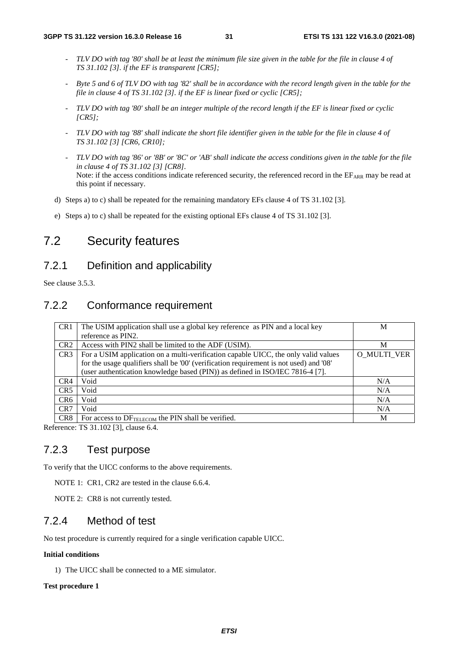- *TLV DO with tag '80' shall be at least the minimum file size given in the table for the file in clause 4 of TS 31.102 [3]. if the EF is transparent [CR5];*
- *Byte 5 and 6 of TLV DO with tag '82' shall be in accordance with the record length given in the table for the file in clause 4 of TS 31.102 [3]. if the EF is linear fixed or cyclic [CR5];*
- *TLV DO with tag '80' shall be an integer multiple of the record length if the EF is linear fixed or cyclic [CR5];*
- *TLV DO with tag '88' shall indicate the short file identifier given in the table for the file in clause 4 of TS 31.102 [3] [CR6, CR10];*
- *TLV DO with tag '86' or '8B' or '8C' or 'AB' shall indicate the access conditions given in the table for the file in clause 4 of TS 31.102 [3] [CR8].*  Note: if the access conditions indicate referenced security, the referenced record in the  $E_{ARR}$  may be read at this point if necessary.
- d) Steps a) to c) shall be repeated for the remaining mandatory EFs clause 4 of TS 31.102 [3].
- e) Steps a) to c) shall be repeated for the existing optional EFs clause 4 of TS 31.102 [3].

# 7.2 Security features

### 7.2.1 Definition and applicability

See clause 3.5.3.

### 7.2.2 Conformance requirement

| CR <sub>1</sub> | The USIM application shall use a global key reference as PIN and a local key           | М                  |
|-----------------|----------------------------------------------------------------------------------------|--------------------|
|                 | reference as PIN2.                                                                     |                    |
| CR <sub>2</sub> | Access with PIN2 shall be limited to the ADF (USIM).                                   | М                  |
| CR <sub>3</sub> | For a USIM application on a multi-verification capable UICC, the only valid values     | <b>O MULTI VER</b> |
|                 | for the usage qualifiers shall be '00' (verification requirement is not used) and '08' |                    |
|                 | (user authentication knowledge based (PIN)) as defined in ISO/IEC 7816-4 [7].          |                    |
| CR4             | Void                                                                                   | N/A                |
| CR <sub>5</sub> | Void                                                                                   | N/A                |
| CR <sub>6</sub> | Void                                                                                   | N/A                |
| CR7             | Void                                                                                   | N/A                |
| CR <sub>8</sub> | For access to DFTELECOM the PIN shall be verified.                                     | M                  |

Reference: TS 31.102 [3], clause 6.4.

### 7.2.3 Test purpose

To verify that the UICC conforms to the above requirements.

NOTE 1: CR1, CR2 are tested in the clause 6.6.4.

NOTE 2: CR8 is not currently tested.

### 7.2.4 Method of test

No test procedure is currently required for a single verification capable UICC.

#### **Initial conditions**

1) The UICC shall be connected to a ME simulator.

#### **Test procedure 1**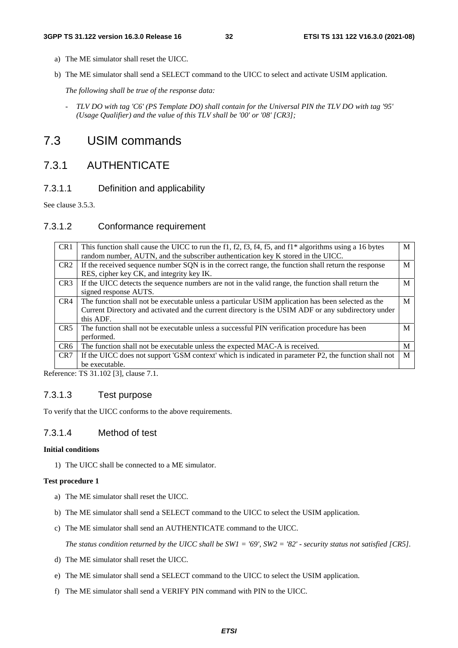- a) The ME simulator shall reset the UICC.
- b) The ME simulator shall send a SELECT command to the UICC to select and activate USIM application.

*The following shall be true of the response data:* 

*- TLV DO with tag 'C6' (PS Template DO) shall contain for the Universal PIN the TLV DO with tag '95' (Usage Qualifier) and the value of this TLV shall be '00' or '08' [CR3];* 

# 7.3 USIM commands

# 7.3.1 AUTHENTICATE

### 7.3.1.1 Definition and applicability

See clause 3.5.3.

### 7.3.1.2 Conformance requirement

| CR <sub>1</sub> | This function shall cause the UICC to run the f1, f2, f3, f4, f5, and f1* algorithms using a 16 bytes | M |
|-----------------|-------------------------------------------------------------------------------------------------------|---|
|                 | random number, AUTN, and the subscriber authentication key K stored in the UICC.                      |   |
| CR <sub>2</sub> | If the received sequence number SQN is in the correct range, the function shall return the response   | M |
|                 | RES, cipher key CK, and integrity key IK.                                                             |   |
| CR <sub>3</sub> | If the UICC detects the sequence numbers are not in the valid range, the function shall return the    | M |
|                 | signed response AUTS.                                                                                 |   |
| CR4             | The function shall not be executable unless a particular USIM application has been selected as the    | M |
|                 | Current Directory and activated and the current directory is the USIM ADF or any subdirectory under   |   |
|                 | this ADF.                                                                                             |   |
| CR5             | The function shall not be executable unless a successful PIN verification procedure has been          | M |
|                 | performed.                                                                                            |   |
| CR <sub>6</sub> | The function shall not be executable unless the expected MAC-A is received.                           | M |
| CR <sub>7</sub> | If the UICC does not support 'GSM context' which is indicated in parameter P2, the function shall not | M |
|                 | be executable.                                                                                        |   |

Reference: TS 31.102 [3], clause 7.1.

### 7.3.1.3 Test purpose

To verify that the UICC conforms to the above requirements.

### 7.3.1.4 Method of test

### **Initial conditions**

1) The UICC shall be connected to a ME simulator.

### **Test procedure 1**

- a) The ME simulator shall reset the UICC.
- b) The ME simulator shall send a SELECT command to the UICC to select the USIM application.
- c) The ME simulator shall send an AUTHENTICATE command to the UICC.

*The status condition returned by the UICC shall be SW1 = '69', SW2 = '82' - security status not satisfied [CR5].* 

- d) The ME simulator shall reset the UICC.
- e) The ME simulator shall send a SELECT command to the UICC to select the USIM application.
- f) The ME simulator shall send a VERIFY PIN command with PIN to the UICC.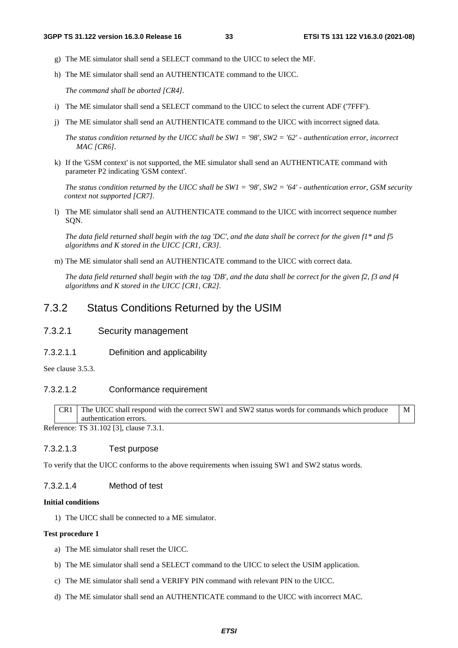M

- g) The ME simulator shall send a SELECT command to the UICC to select the MF.
- h) The ME simulator shall send an AUTHENTICATE command to the UICC.

*The command shall be aborted [CR4].* 

- i) The ME simulator shall send a SELECT command to the UICC to select the current ADF ('7FFF').
- j) The ME simulator shall send an AUTHENTICATE command to the UICC with incorrect signed data.

*The status condition returned by the UICC shall be SW1 = '98', SW2 = '62' - authentication error, incorrect MAC [CR6].* 

k) If the 'GSM context' is not supported, the ME simulator shall send an AUTHENTICATE command with parameter P2 indicating 'GSM context'.

*The status condition returned by the UICC shall be SW1 = '98', SW2 = '64' - authentication error, GSM security context not supported [CR7].*

l) The ME simulator shall send an AUTHENTICATE command to the UICC with incorrect sequence number SQN.

*The data field returned shall begin with the tag 'DC', and the data shall be correct for the given f1\* and f5 algorithms and K stored in the UICC [CR1, CR3].*

m) The ME simulator shall send an AUTHENTICATE command to the UICC with correct data.

*The data field returned shall begin with the tag 'DB', and the data shall be correct for the given f2, f3 and f4 algorithms and K stored in the UICC [CR1, CR2].*

### 7.3.2 Status Conditions Returned by the USIM

#### 7.3.2.1 Security management

7.3.2.1.1 Definition and applicability

See clause 3.5.3.

#### 7.3.2.1.2 Conformance requirement

CR1 The UICC shall respond with the correct SW1 and SW2 status words for commands which produce authentication errors.

Reference: TS 31.102 [3], clause 7.3.1.

#### 7.3.2.1.3 Test purpose

To verify that the UICC conforms to the above requirements when issuing SW1 and SW2 status words.

#### 7.3.2.1.4 Method of test

#### **Initial conditions**

1) The UICC shall be connected to a ME simulator.

#### **Test procedure 1**

- a) The ME simulator shall reset the UICC.
- b) The ME simulator shall send a SELECT command to the UICC to select the USIM application.
- c) The ME simulator shall send a VERIFY PIN command with relevant PIN to the UICC.
- d) The ME simulator shall send an AUTHENTICATE command to the UICC with incorrect MAC.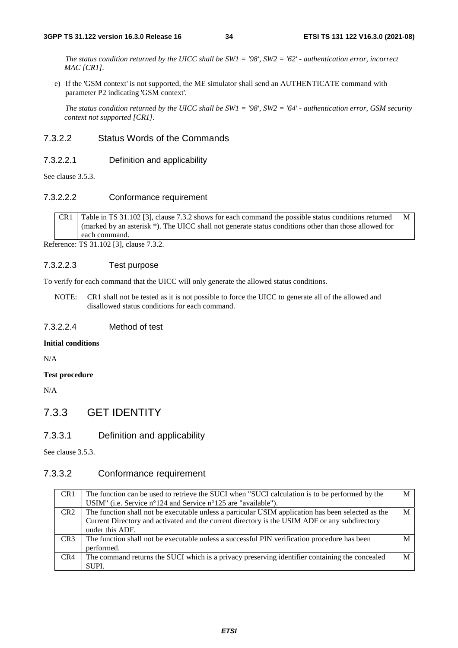*The status condition returned by the UICC shall be SW1 = '98', SW2 = '62' - authentication error, incorrect MAC [CR1].*

e) If the 'GSM context' is not supported, the ME simulator shall send an AUTHENTICATE command with parameter P2 indicating 'GSM context'.

*The status condition returned by the UICC shall be SW1 = '98', SW2 = '64' - authentication error, GSM security context not supported [CR1].*

#### 7.3.2.2 Status Words of the Commands

#### 7.3.2.2.1 Definition and applicability

See clause 3.5.3.

#### 7.3.2.2.2 Conformance requirement

CR1 Table in TS 31.102 [3], clause 7.3.2 shows for each command the possible status conditions returned (marked by an asterisk \*). The UICC shall not generate status conditions other than those allowed for each command. M

Reference: TS 31.102 [3], clause 7.3.2.

#### 7.3.2.2.3 Test purpose

To verify for each command that the UICC will only generate the allowed status conditions.

NOTE: CR1 shall not be tested as it is not possible to force the UICC to generate all of the allowed and disallowed status conditions for each command.

#### 7.3.2.2.4 Method of test

#### **Initial conditions**

N/A

#### **Test procedure**

N/A

### 7.3.3 GET IDENTITY

### 7.3.3.1 Definition and applicability

See clause 3.5.3.

#### 7.3.3.2 Conformance requirement

| CR <sub>1</sub> | The function can be used to retrieve the SUCI when "SUCI calculation is to be performed by the     | М |
|-----------------|----------------------------------------------------------------------------------------------------|---|
|                 | USIM" (i.e. Service n°124 and Service n°125 are "available").                                      |   |
| CR2             | The function shall not be executable unless a particular USIM application has been selected as the | M |
|                 | Current Directory and activated and the current directory is the USIM ADF or any subdirectory      |   |
|                 | under this ADF.                                                                                    |   |
| CR <sub>3</sub> | The function shall not be executable unless a successful PIN verification procedure has been       | M |
|                 | performed.                                                                                         |   |
| CR4             | The command returns the SUCI which is a privacy preserving identifier containing the concealed     | M |
|                 | SUPI.                                                                                              |   |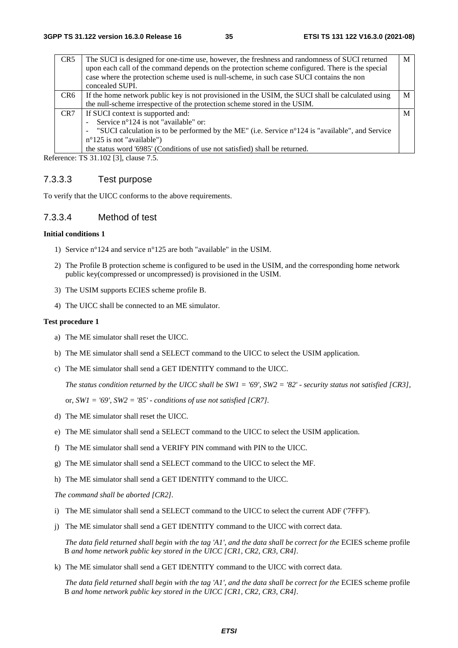| CR <sub>5</sub> | The SUCI is designed for one-time use, however, the freshness and randomness of SUCI returned<br>upon each call of the command depends on the protection scheme configured. There is the special<br>case where the protection scheme used is null-scheme, in such case SUCI contains the non<br>concealed SUPI. | M |
|-----------------|-----------------------------------------------------------------------------------------------------------------------------------------------------------------------------------------------------------------------------------------------------------------------------------------------------------------|---|
| CR6             | If the home network public key is not provisioned in the USIM, the SUCI shall be calculated using                                                                                                                                                                                                               | M |
|                 | the null-scheme irrespective of the protection scheme stored in the USIM.                                                                                                                                                                                                                                       |   |
| CR <sub>7</sub> | If SUCI context is supported and:                                                                                                                                                                                                                                                                               | M |
|                 | Service n°124 is not "available" or:                                                                                                                                                                                                                                                                            |   |
|                 | "SUCI calculation is to be performed by the ME" (i.e. Service n°124 is "available", and Service<br>$\overline{\phantom{a}}$                                                                                                                                                                                     |   |
|                 | $n^{\circ}125$ is not "available")                                                                                                                                                                                                                                                                              |   |
|                 | the status word '6985' (Conditions of use not satisfied) shall be returned.                                                                                                                                                                                                                                     |   |

Reference: TS 31.102 [3], clause 7.5.

### 7.3.3.3 Test purpose

To verify that the UICC conforms to the above requirements.

#### 7.3.3.4 Method of test

#### **Initial conditions 1**

- 1) Service n°124 and service n°125 are both "available" in the USIM.
- 2) The Profile B protection scheme is configured to be used in the USIM, and the corresponding home network public key(compressed or uncompressed) is provisioned in the USIM.
- 3) The USIM supports ECIES scheme profile B.
- 4) The UICC shall be connected to an ME simulator.

#### **Test procedure 1**

- a) The ME simulator shall reset the UICC.
- b) The ME simulator shall send a SELECT command to the UICC to select the USIM application.
- c) The ME simulator shall send a GET IDENTITY command to the UICC.

*The status condition returned by the UICC shall be SW1 = '69', SW2 = '82' - security status not satisfied [CR3],*

or, *SW1 = '69', SW2 = '85' - conditions of use not satisfied [CR7].*

- d) The ME simulator shall reset the UICC.
- e) The ME simulator shall send a SELECT command to the UICC to select the USIM application.
- f) The ME simulator shall send a VERIFY PIN command with PIN to the UICC.
- g) The ME simulator shall send a SELECT command to the UICC to select the MF.
- h) The ME simulator shall send a GET IDENTITY command to the UICC.

*The command shall be aborted [CR2].*

- i) The ME simulator shall send a SELECT command to the UICC to select the current ADF ('7FFF').
- j) The ME simulator shall send a GET IDENTITY command to the UICC with correct data.

*The data field returned shall begin with the tag 'A1', and the data shall be correct for the* ECIES scheme profile B *and home network public key stored in the UICC [CR1, CR2, CR3, CR4].* 

k) The ME simulator shall send a GET IDENTITY command to the UICC with correct data.

*The data field returned shall begin with the tag 'A1', and the data shall be correct for the* ECIES scheme profile B *and home network public key stored in the UICC [CR1, CR2, CR3, CR4].*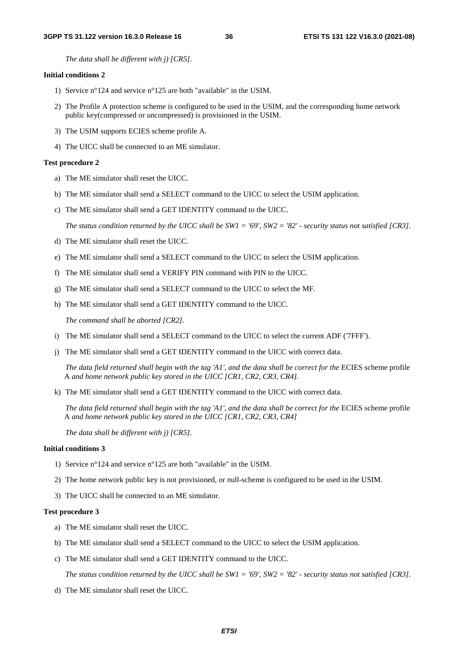*The data shall be different with j) [CR5].* 

#### **Initial conditions 2**

- 1) Service n°124 and service n°125 are both "available" in the USIM.
- 2) The Profile A protection scheme is configured to be used in the USIM, and the corresponding home network public key(compressed or uncompressed) is provisioned in the USIM.
- 3) The USIM supports ECIES scheme profile A.
- 4) The UICC shall be connected to an ME simulator.

#### **Test procedure 2**

- a) The ME simulator shall reset the UICC.
- b) The ME simulator shall send a SELECT command to the UICC to select the USIM application.
- c) The ME simulator shall send a GET IDENTITY command to the UICC.

*The status condition returned by the UICC shall be SW1 = '69', SW2 = '82' - security status not satisfied [CR3].*

- d) The ME simulator shall reset the UICC.
- e) The ME simulator shall send a SELECT command to the UICC to select the USIM application.
- f) The ME simulator shall send a VERIFY PIN command with PIN to the UICC.
- g) The ME simulator shall send a SELECT command to the UICC to select the MF.
- h) The ME simulator shall send a GET IDENTITY command to the UICC.

*The command shall be aborted [CR2].*

- i) The ME simulator shall send a SELECT command to the UICC to select the current ADF ('7FFF').
- j) The ME simulator shall send a GET IDENTITY command to the UICC with correct data.

The data field returned shall begin with the tag 'A1', and the data shall be correct for the ECIES scheme profile A *and home network public key stored in the UICC [CR1, CR2, CR3, CR4].* 

k) The ME simulator shall send a GET IDENTITY command to the UICC with correct data.

*The data field returned shall begin with the tag 'A1', and the data shall be correct for the* ECIES scheme profile A *and home network public key stored in the UICC [CR1, CR2, CR3, CR4]* 

*The data shall be different with j) [CR5].* 

#### **Initial conditions 3**

- 1) Service n°124 and service n°125 are both "available" in the USIM.
- 2) The home network public key is not provisioned, or null-scheme is configured to be used in the USIM.
- 3) The UICC shall be connected to an ME simulator.

#### **Test procedure 3**

- a) The ME simulator shall reset the UICC.
- b) The ME simulator shall send a SELECT command to the UICC to select the USIM application.
- c) The ME simulator shall send a GET IDENTITY command to the UICC.

*The status condition returned by the UICC shall be SW1 = '69', SW2 = '82' - security status not satisfied [CR3].*

d) The ME simulator shall reset the UICC.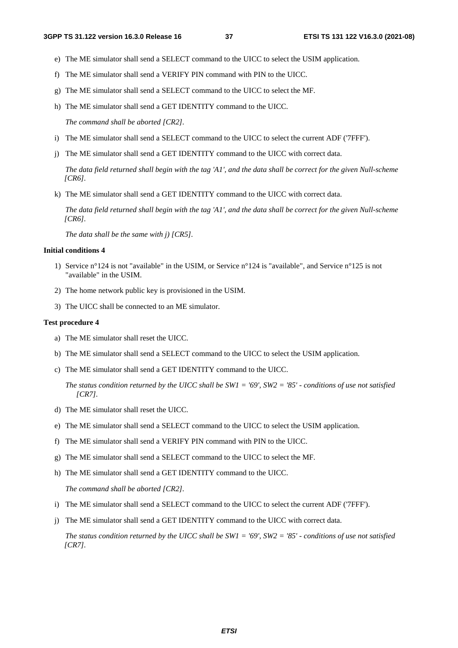- e) The ME simulator shall send a SELECT command to the UICC to select the USIM application.
- f) The ME simulator shall send a VERIFY PIN command with PIN to the UICC.
- g) The ME simulator shall send a SELECT command to the UICC to select the MF.
- h) The ME simulator shall send a GET IDENTITY command to the UICC.

*The command shall be aborted [CR2].*

- i) The ME simulator shall send a SELECT command to the UICC to select the current ADF ('7FFF').
- j) The ME simulator shall send a GET IDENTITY command to the UICC with correct data.

*The data field returned shall begin with the tag 'A1', and the data shall be correct for the given Null-scheme [CR6].* 

k) The ME simulator shall send a GET IDENTITY command to the UICC with correct data.

*The data field returned shall begin with the tag 'A1', and the data shall be correct for the given Null-scheme [CR6].* 

*The data shall be the same with j) [CR5].*

#### **Initial conditions 4**

- 1) Service n°124 is not "available" in the USIM, or Service n°124 is "available", and Service n°125 is not "available" in the USIM.
- 2) The home network public key is provisioned in the USIM.
- 3) The UICC shall be connected to an ME simulator.

#### **Test procedure 4**

- a) The ME simulator shall reset the UICC.
- b) The ME simulator shall send a SELECT command to the UICC to select the USIM application.
- c) The ME simulator shall send a GET IDENTITY command to the UICC.

*The status condition returned by the UICC shall be SW1 = '69', SW2 = '85' - conditions of use not satisfied [CR7].*

- d) The ME simulator shall reset the UICC.
- e) The ME simulator shall send a SELECT command to the UICC to select the USIM application.
- f) The ME simulator shall send a VERIFY PIN command with PIN to the UICC.
- g) The ME simulator shall send a SELECT command to the UICC to select the MF.
- h) The ME simulator shall send a GET IDENTITY command to the UICC.

*The command shall be aborted [CR2].*

- i) The ME simulator shall send a SELECT command to the UICC to select the current ADF ('7FFF').
- j) The ME simulator shall send a GET IDENTITY command to the UICC with correct data.

*The status condition returned by the UICC shall be SW1 = '69', SW2 = '85' - conditions of use not satisfied [CR7].*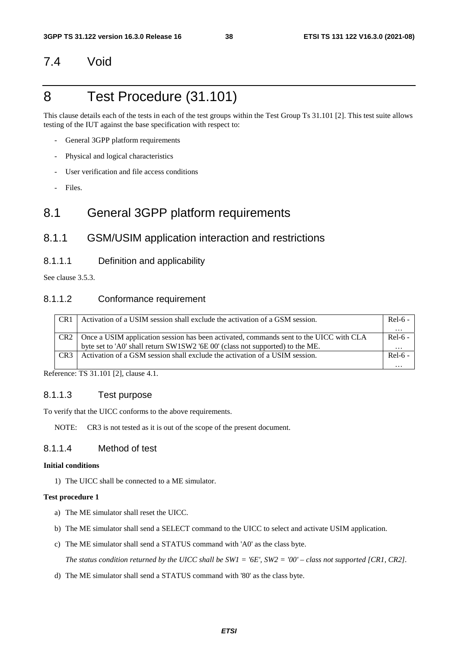# 7.4 Void

# 8 Test Procedure (31.101)

This clause details each of the tests in each of the test groups within the Test Group Ts 31.101 [2]. This test suite allows testing of the IUT against the base specification with respect to:

- General 3GPP platform requirements
- Physical and logical characteristics
- User verification and file access conditions
- Files.

# 8.1 General 3GPP platform requirements

### 8.1.1 GSM/USIM application interaction and restrictions

#### 8.1.1.1 Definition and applicability

See clause 3.5.3.

### 8.1.1.2 Conformance requirement

| CR <sub>1</sub> | Activation of a USIM session shall exclude the activation of a GSM session.            | $Rel-6$ - |
|-----------------|----------------------------------------------------------------------------------------|-----------|
|                 |                                                                                        | $\ddotsc$ |
| CR <sub>2</sub> | Once a USIM application session has been activated, commands sent to the UICC with CLA | Rel-6 -   |
|                 | byte set to 'A0' shall return SW1SW2 '6E 00' (class not supported) to the ME.          | $\cdots$  |
| CR <sub>3</sub> | Activation of a GSM session shall exclude the activation of a USIM session.            | $Rel-6 -$ |
|                 |                                                                                        | $\cdots$  |

Reference: TS 31.101 [2], clause 4.1.

#### 8.1.1.3 Test purpose

To verify that the UICC conforms to the above requirements.

NOTE: CR3 is not tested as it is out of the scope of the present document.

### 8.1.1.4 Method of test

#### **Initial conditions**

1) The UICC shall be connected to a ME simulator.

#### **Test procedure 1**

- a) The ME simulator shall reset the UICC.
- b) The ME simulator shall send a SELECT command to the UICC to select and activate USIM application.
- c) The ME simulator shall send a STATUS command with 'A0' as the class byte.

 *The status condition returned by the UICC shall be SW1 = '6E', SW2 = '00' – class not supported [CR1, CR2].* 

d) The ME simulator shall send a STATUS command with '80' as the class byte.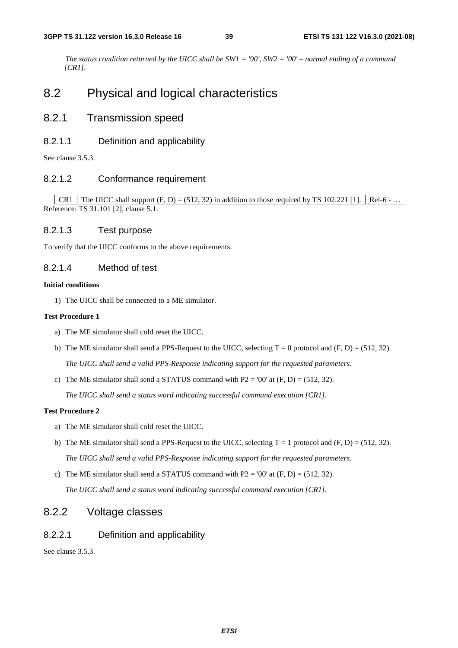*The status condition returned by the UICC shall be SW1 = '90', SW2 = '00' – normal ending of a command [CR1].*

# 8.2 Physical and logical characteristics

### 8.2.1 Transmission speed

#### 8.2.1.1 Definition and applicability

See clause 3.5.3.

#### 8.2.1.2 Conformance requirement

CR1 The UICC shall support  $(F, D) = (512, 32)$  in addition to those required by TS 102.221 [1]. Rel-6 - ... Reference: TS 31.101 [2], clause 5.1.

#### 8.2.1.3 Test purpose

To verify that the UICC conforms to the above requirements.

#### 8.2.1.4 Method of test

#### **Initial conditions**

1) The UICC shall be connected to a ME simulator.

#### **Test Procedure 1**

- a) The ME simulator shall cold reset the UICC.
- b) The ME simulator shall send a PPS-Request to the UICC, selecting  $T = 0$  protocol and  $(F, D) = (512, 32)$ .  *The UICC shall send a valid PPS-Response indicating support for the requested parameters.*
- c) The ME simulator shall send a STATUS command with  $P2 = 00'$  at  $(F, D) = (512, 32)$ .

 *The UICC shall send a status word indicating successful command execution [CR1].*

#### **Test Procedure 2**

- a) The ME simulator shall cold reset the UICC.
- b) The ME simulator shall send a PPS-Request to the UICC, selecting  $T = 1$  protocol and  $(F, D) = (512, 32)$ .  *The UICC shall send a valid PPS-Response indicating support for the requested parameters.*
- c) The ME simulator shall send a STATUS command with  $P2 = 00'$  at  $(F, D) = (512, 32)$ .  *The UICC shall send a status word indicating successful command execution [CR1].*

### 8.2.2 Voltage classes

### 8.2.2.1 Definition and applicability

See clause 3.5.3.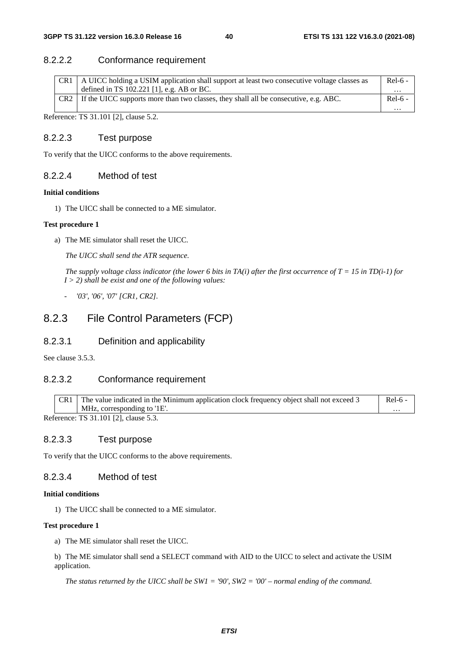### 8.2.2.2 Conformance requirement

|                 | A UICC holding a USIM application shall support at least two consecutive voltage classes as | $Rel-6$ - |
|-----------------|---------------------------------------------------------------------------------------------|-----------|
|                 | defined in TS $102.221$ [1], e.g. AB or BC.                                                 | $\cdots$  |
| CR <sub>2</sub> | If the UICC supports more than two classes, they shall all be consecutive, e.g. ABC.        | $Rel-6 -$ |
|                 |                                                                                             | $\cdots$  |

Reference: TS 31.101 [2], clause 5.2.

#### 8.2.2.3 Test purpose

To verify that the UICC conforms to the above requirements.

#### 8.2.2.4 Method of test

#### **Initial conditions**

1) The UICC shall be connected to a ME simulator.

#### **Test procedure 1**

a) The ME simulator shall reset the UICC.

 *The UICC shall send the ATR sequence.* 

*The supply voltage class indicator (the lower 6 bits in TA(i) after the first occurrence of T = 15 in TD(i-1) for I > 2) shall be exist and one of the following values:* 

*- '03', '06', '07' [CR1, CR2].* 

## 8.2.3 File Control Parameters (FCP)

### 8.2.3.1 Definition and applicability

See clause 3.5.3.

### 8.2.3.2 Conformance requirement

| CR1<br>The value indicated in the Minimum application clock frequency object shall not exceed 3<br>Rel-6 |                               |  |  |  |  |  |
|----------------------------------------------------------------------------------------------------------|-------------------------------|--|--|--|--|--|
|                                                                                                          | MHz, corresponding to $1E'$ . |  |  |  |  |  |
| $D_{\alpha} f_{\alpha}$ $\ldots$ $T^{c}$ 21 101 [2] $\ldots$ $I_{\alpha}$                                |                               |  |  |  |  |  |

Reference: TS 31.101 [2], clause 5.3.

### 8.2.3.3 Test purpose

To verify that the UICC conforms to the above requirements.

#### 8.2.3.4 Method of test

#### **Initial conditions**

1) The UICC shall be connected to a ME simulator.

#### **Test procedure 1**

a) The ME simulator shall reset the UICC.

b) The ME simulator shall send a SELECT command with AID to the UICC to select and activate the USIM application.

*The status returned by the UICC shall be SW1 = '90', SW2 = '00' – normal ending of the command.*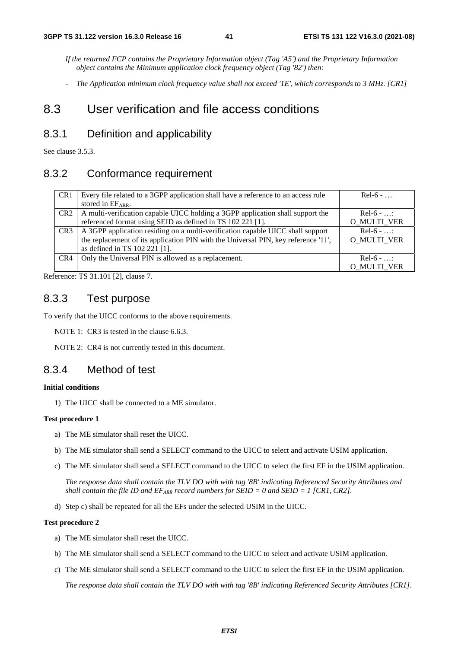*If the returned FCP contains the Proprietary Information object (Tag 'A5') and the Proprietary Information object contains the Minimum application clock frequency object (Tag '82') then:* 

*- The Application minimum clock frequency value shall not exceed '1E', which corresponds to 3 MHz. [CR1]* 

# 8.3 User verification and file access conditions

### 8.3.1 Definition and applicability

See clause 3.5.3.

### 8.3.2 Conformance requirement

| CR <sub>1</sub> | Every file related to a 3GPP application shall have a reference to an access rule  | $Rel-6$ -          |
|-----------------|------------------------------------------------------------------------------------|--------------------|
|                 | stored in $EF_{ARR.}$                                                              |                    |
| CR <sub>2</sub> | A multi-verification capable UICC holding a 3GPP application shall support the     | $Re1-6 - $         |
|                 | referenced format using SEID as defined in TS 102 221 [1].                         | O_MULTI_VER        |
| CR <sub>3</sub> | A 3GPP application residing on a multi-verification capable UICC shall support     | $Rel-6$ - $\ldots$ |
|                 | the replacement of its application PIN with the Universal PIN, key reference '11', | <b>O MULTI VER</b> |
|                 | as defined in TS 102 221 [1].                                                      |                    |
| CR4             | Only the Universal PIN is allowed as a replacement.                                | $Re1-6$ - :        |
|                 |                                                                                    | <b>O MULTI VER</b> |

Reference: TS 31.101 [2], clause 7.

### 8.3.3 Test purpose

To verify that the UICC conforms to the above requirements.

NOTE 1: CR3 is tested in the clause 6.6.3.

NOTE 2: CR4 is not currently tested in this document.

### 8.3.4 Method of test

#### **Initial conditions**

1) The UICC shall be connected to a ME simulator.

#### **Test procedure 1**

- a) The ME simulator shall reset the UICC.
- b) The ME simulator shall send a SELECT command to the UICC to select and activate USIM application.
- c) The ME simulator shall send a SELECT command to the UICC to select the first EF in the USIM application.

*The response data shall contain the TLV DO with with tag '8B' indicating Referenced Security Attributes and shall contain the file ID and*  $EF_{ARR}$  *record numbers for SEID = 0 and SEID = 1 [CR1, CR2].* 

d) Step c) shall be repeated for all the EFs under the selected USIM in the UICC.

#### **Test procedure 2**

- a) The ME simulator shall reset the UICC.
- b) The ME simulator shall send a SELECT command to the UICC to select and activate USIM application.
- c) The ME simulator shall send a SELECT command to the UICC to select the first EF in the USIM application.

*The response data shall contain the TLV DO with with tag '8B' indicating Referenced Security Attributes [CR1].*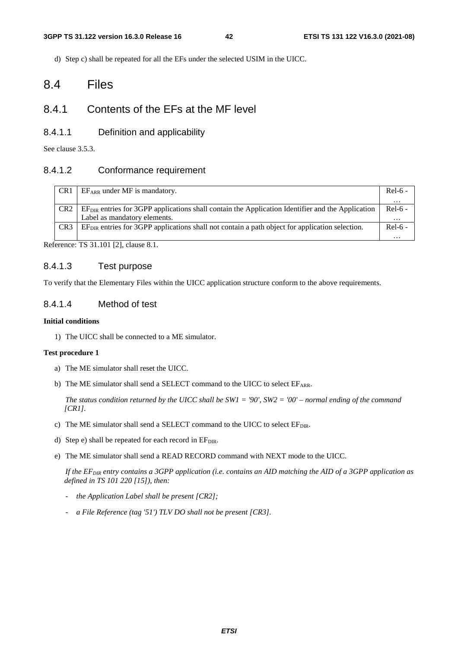d) Step c) shall be repeated for all the EFs under the selected USIM in the UICC.

# 8.4 Files

# 8.4.1 Contents of the EFs at the MF level

#### 8.4.1.1 Definition and applicability

See clause 3.5.3.

#### 8.4.1.2 Conformance requirement

| CR <sub>1</sub> | $EF_{ARR}$ under MF is mandatory.                                                                  | $Rel-6$ - |
|-----------------|----------------------------------------------------------------------------------------------------|-----------|
|                 |                                                                                                    | $\cdots$  |
| CR <sub>2</sub> | $EFDIR$ entries for 3GPP applications shall contain the Application Identifier and the Application | $Rel-6 -$ |
|                 | Label as mandatory elements.                                                                       | .         |
| CR <sub>3</sub> | $EFDIR$ entries for 3GPP applications shall not contain a path object for application selection.   | $Rel-6 -$ |
|                 |                                                                                                    |           |

Reference: TS 31.101 [2], clause 8.1.

#### 8.4.1.3 Test purpose

To verify that the Elementary Files within the UICC application structure conform to the above requirements.

#### 8.4.1.4 Method of test

#### **Initial conditions**

1) The UICC shall be connected to a ME simulator.

#### **Test procedure 1**

- a) The ME simulator shall reset the UICC.
- b) The ME simulator shall send a SELECT command to the UICC to select EFARR.

 *The status condition returned by the UICC shall be SW1 = '90', SW2 = '00' – normal ending of the command [CR1].*

- c) The ME simulator shall send a SELECT command to the UICC to select EFDIR.
- d) Step e) shall be repeated for each record in  $E_{\text{DIR}}$ .
- e) The ME simulator shall send a READ RECORD command with NEXT mode to the UICC.

 *If the EFDIR entry contains a 3GPP application (i.e. contains an AID matching the AID of a 3GPP application as defined in TS 101 220 [15]), then:* 

- *the Application Label shall be present [CR2];*
- *a File Reference (tag '51') TLV DO shall not be present [CR3].*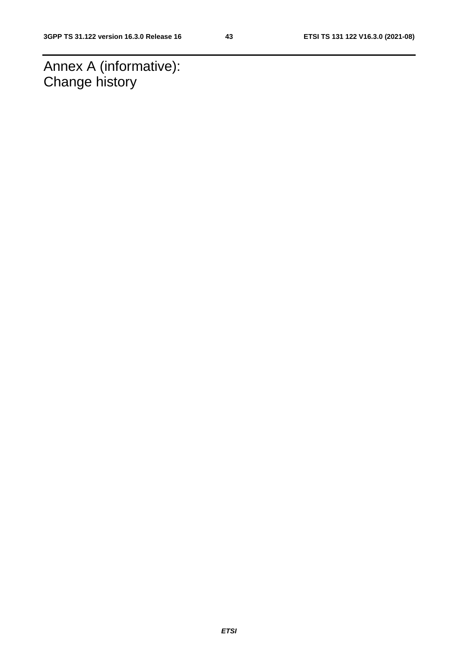Annex A (informative): Change history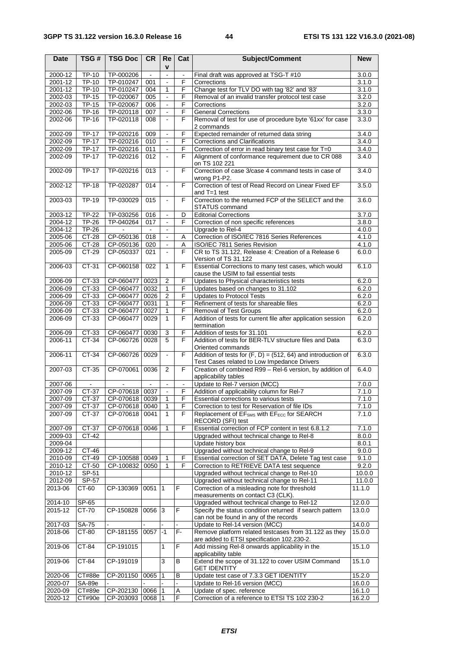| <b>Date</b> | TSG#         | <b>TSG Doc</b>       | <b>CR</b>  | Re                       | Cat            | Subject/Comment                                                                                               | <b>New</b> |
|-------------|--------------|----------------------|------------|--------------------------|----------------|---------------------------------------------------------------------------------------------------------------|------------|
|             |              |                      |            | v                        |                |                                                                                                               |            |
| 2000-12     | <b>TP-10</b> | TP-000206            | $\sim$     | $\blacksquare$           | $\blacksquare$ | Final draft was approved at TSG-T #10                                                                         | 3.0.0      |
| $2001 - 12$ | TP-10        | TP-010247            | 001        | $\blacksquare$           | F              | Corrections                                                                                                   | 3.1.0      |
| 2001-12     | <b>TP-10</b> | TP-010247            | 004        | 1                        | F              | Change test for TLV DO with tag '82' and '83'                                                                 | 3.1.0      |
| 2002-03     | <b>TP-15</b> | TP-020067            | 005        |                          | F              | Removal of an invalid transfer protocol test case                                                             | 3.2.0      |
| 2002-03     | <b>TP-15</b> | TP-020067            | 006        |                          | F              | Corrections                                                                                                   | 3.2.0      |
| 2002-06     | <b>TP-16</b> | TP-020118            | 007        | $\blacksquare$           | F              | <b>General Corrections</b>                                                                                    | 3.3.0      |
| 2002-06     | <b>TP-16</b> | TP-020118            | 008        |                          | F              | Removal of test for use of procedure byte '61xx' for case<br>2 commands                                       | 3.3.0      |
| 2002-09     | <b>TP-17</b> | TP-020216            | 009        |                          | F              | Expected remainder of returned data string                                                                    | 3.4.0      |
| 2002-09     | $TP-17$      | TP-020216            | 010        |                          | F              | Corrections and Clarifications                                                                                | 3.4.0      |
| 2002-09     | $TP-17$      | TP-020216            | 011        | $\blacksquare$           | F              | Correction of error in read binary test case for T=0                                                          | 3.4.0      |
| 2002-09     | <b>TP-17</b> | TP-020216            | 012        | $\blacksquare$           | F              | Alignment of conformance requirement due to CR 088                                                            | 3.4.0      |
|             |              |                      |            |                          |                | on TS 102 221                                                                                                 |            |
| 2002-09     | $TP-17$      | TP-020216            | 013        | $\blacksquare$           | F              | Correction of case 3/case 4 command tests in case of<br>wrong P1-P2.                                          | 3.4.0      |
| 2002-12     | <b>TP-18</b> | TP-020287            | 014        | $\overline{\phantom{a}}$ | F              | Correction of test of Read Record on Linear Fixed EF                                                          | 3.5.0      |
|             |              |                      |            |                          |                | and $T=1$ test                                                                                                |            |
| 2003-03     | <b>TP-19</b> | TP-030029            | 015        | $\blacksquare$           | F              | Correction to the returned FCP of the SELECT and the                                                          | 3.6.0      |
|             |              |                      |            |                          |                | <b>STATUS command</b>                                                                                         |            |
| 2003-12     | <b>TP-22</b> | TP-030256            | 016        |                          | D              | <b>Editorial Corrections</b>                                                                                  | 3.7.0      |
| $2004 - 12$ | <b>TP-26</b> | TP-040264            | 017        | $\blacksquare$           | F              | Correction of non specific references                                                                         | 3.8.0      |
| 2004-12     | TP-26        | $\sim$               | $\sim$     | $\blacksquare$           |                | Upgrade to Rel-4                                                                                              | 4.0.0      |
| 2005-06     | CT-28        | CP-050136            | 018        |                          | Α              | Correction of ISO/IEC 7816 Series References                                                                  | 4.1.0      |
| 2005-06     | CT-28        | CP-050136            | 020        | $\blacksquare$           | Α              | ISO/IEC 7811 Series Revision                                                                                  | 4.1.0      |
| 2005-09     | CT-29        | CP-050337            | 021        |                          | F              | CR to TS 31.122, Release 4: Creation of a Release 6                                                           | 6.0.0      |
|             |              |                      |            |                          |                | Version of TS 31.122                                                                                          |            |
| 2006-03     | CT-31        | CP-060158            | 022        | 1                        | F              | Essential Corrections to many test cases, which would                                                         | 6.1.0      |
|             |              |                      |            |                          |                | cause the USIM to fail essential tests                                                                        |            |
| 2006-09     | CT-33        | CP-060477 0023       |            | 2                        | F              | Updates to Physical characteristics tests                                                                     | 6.2.0      |
| 2006-09     | CT-33        | CP-060477            | 0032       | 1                        | F              | Updates based on changes to 31.102                                                                            | 6.2.0      |
| 2006-09     | CT-33        | CP-060477            | 0026       | 2                        | F              | Updates to Protocol Tests                                                                                     | 6.2.0      |
| 2006-09     | CT-33        | CP-060477            | 0031       | 1                        | F              | Refinement of tests for shareable files                                                                       | 6.2.0      |
| 2006-09     | CT-33        | CP-060477            | 0027       | 1                        | F              | Removal of Test Groups                                                                                        | 6.2.0      |
| 2006-09     | CT-33        | CP-060477            | 0029       | 1                        | F              | Addition of tests for current file after application session                                                  | 6.2.0      |
|             |              |                      |            |                          |                | termination                                                                                                   |            |
| 2006-09     | CT-33        | CP-060477            | 0030       | 3                        | F              | Addition of tests for 31.101                                                                                  | 6.2.0      |
| 2006-11     | CT-34        | CP-060726            | 0028       | 5                        | F              | Addition of tests for BER-TLV structure files and Data                                                        | 6.3.0      |
|             |              |                      |            |                          |                | Oriented commands                                                                                             |            |
| 2006-11     | CT-34        | CP-060726 0029       |            | $\blacksquare$           | F              | Addition of tests for $(F, D) = (512, 64)$ and introduction of<br>Test Cases related to Low Impedance Drivers | 6.3.0      |
| 2007-03     | CT-35        | CP-070061            | 0036       | 2                        | F              | Creation of combined R99 - Rel-6 version, by addition of                                                      | 6.4.0      |
|             |              |                      |            |                          |                | applicability tables                                                                                          |            |
| 2007-06     |              |                      |            | $\blacksquare$           | $\blacksquare$ | Update to Rel-7 version (MCC)                                                                                 | 7.0.0      |
| 2007-09     | CT-37        | CP-070618 0037       |            | $\blacksquare$           | F              | Addition of applicability column for Rel-7                                                                    | 7.1.0      |
| 2007-09     |              | CT-37 CP-070618 0039 |            | $\overline{1}$           | $\overline{F}$ | Essential corrections to various tests                                                                        | 7.1.0      |
| 2007-09     | CT-37        | CP-070618 0040       |            | 1                        | F              | Correction to test for Reservation of file IDs                                                                | 7.1.0      |
| 2007-09     | CT-37        | CP-070618 0041       |            | 1                        | F              | Replacement of EF <sub>SMS</sub> with EF <sub>ECC</sub> for SEARCH                                            | 7.1.0      |
|             |              |                      |            |                          |                | RECORD (SFI) test                                                                                             |            |
| 2007-09     | CT-37        | CP-070618            | 0046       | 1                        | F              | Essential correction of FCP content in test 6.8.1.2                                                           | 7.1.0      |
| 2009-03     | CT-42        |                      |            |                          |                | Upgraded without technical change to Rel-8                                                                    | 8.0.0      |
| 2009-04     |              |                      |            |                          |                | Update history box                                                                                            | 8.0.1      |
| 2009-12     | $CT-46$      |                      |            |                          |                | Upgraded without technical change to Rel-9                                                                    | 9.0.0      |
| 2010-09     | CT-49        | CP-100588            | 0049       | 1                        | F              | Essential correction of SET DATA, Delete Tag test case                                                        | 9.1.0      |
| 2010-12     | CT-50        | CP-100832            | 0050       | 1                        | F              | Correction to RETRIEVE DATA test sequence                                                                     | 9.2.0      |
| 2010-12     | SP-51        |                      |            |                          |                | Upgraded without technical change to Rel-10                                                                   | 10.0.0     |
| 2012-09     | SP-57        |                      |            |                          |                | Upgraded without technical change to Rel-11                                                                   | 11.0.0     |
| 2013-06     | CT-60        | CP-130369            | $0051$  1  |                          | F              | Correction of a misleading note for threshold                                                                 | 11.1.0     |
|             |              |                      |            |                          |                | measurements on contact C3 (CLK).                                                                             |            |
| $2014 - 10$ | SP-65        |                      |            |                          |                | Upgraded without technical change to Rel-12                                                                   | 12.0.0     |
| 2015-12     | CT-70        | CP-150828            | $0056$ 3   |                          | F              | Specify the status condition returned if search pattern                                                       | 13.0.0     |
|             |              |                      |            |                          |                | can not be found in any of the records                                                                        |            |
| 2017-03     | SA-75        |                      |            |                          |                | Update to Rel-14 version (MCC)                                                                                | 14.0.0     |
| 2018-06     | CT-80        | CP-181155            | $0057 - 1$ |                          | F-             | Remove platform related testcases from 31.122 as they                                                         | 15.0.0     |
|             |              |                      |            |                          |                | are added to ETSI specification 102.230-2.                                                                    |            |
| 2019-06     | $CT-84$      | CP-191015            |            | $\mathbf{1}$             | F              | Add missing Rel-8 onwards applicability in the                                                                | 15.1.0     |
|             |              |                      |            |                          |                | applicability table                                                                                           |            |
| 2019-06     | $CT-84$      | CP-191019            |            | 3                        | В              | Extend the scope of 31.122 to cover USIM Command                                                              | 15.1.0     |
|             |              |                      |            |                          |                | <b>GET IDENTITY</b>                                                                                           |            |
| 2020-06     | CT#88e       | CP-201150            | 0065       | 1                        | В              | Update test case of 7.3.3 GET IDENTITY                                                                        | 15.2.0     |
| 2020-07     | SA-89e       |                      |            |                          |                | Update to Rel-16 version (MCC)                                                                                | 16.0.0     |
| 2020-09     | CT#89e       | CP-202130            | 0066       | -1                       | Α              | Update of spec. reference                                                                                     | 16.1.0     |
| 2020-12     | CT#90e       | CP-203093            | 0068       |                          | F              | Correction of a reference to ETSI TS 102 230-2                                                                | 16.2.0     |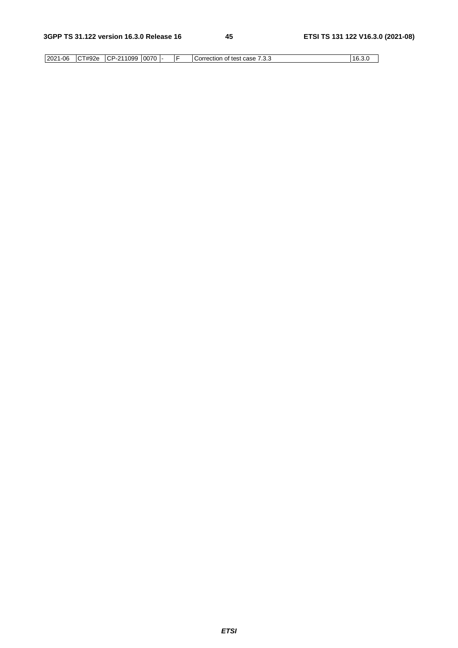|  |  | 2021-06 | CT#92e | CP-211099 | 0070 |  | IF | I Correction of test case,<br>$\sim$ $\sim$ $\sim$<br>ن. ت. | 16.3.0 |
|--|--|---------|--------|-----------|------|--|----|-------------------------------------------------------------|--------|
|--|--|---------|--------|-----------|------|--|----|-------------------------------------------------------------|--------|